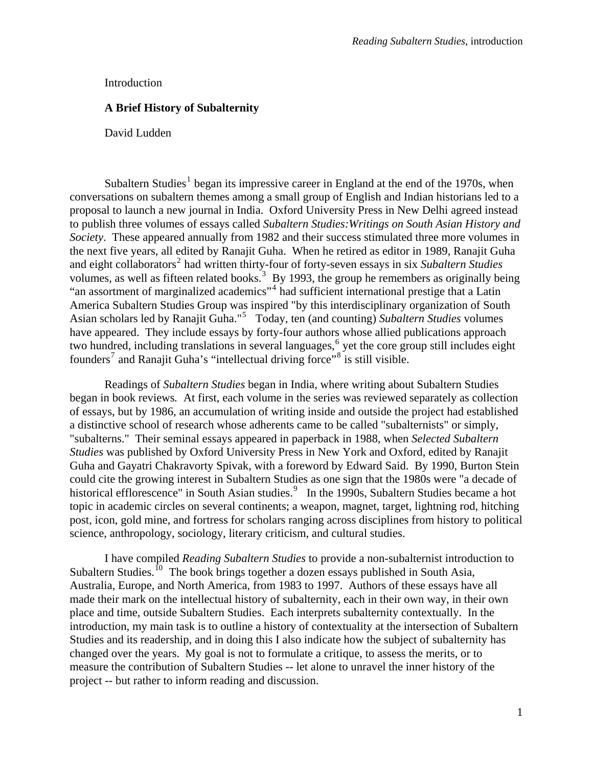### Introduction

## **A Brief History of Subalternity**

David Ludden

Subaltern Studies<sup>[1](#page-26-0)</sup> began its impressive career in England at the end of the 1970s, when conversations on subaltern themes among a small group of English and Indian historians led to a proposal to launch a new journal in India. Oxford University Press in New Delhi agreed instead to publish three volumes of essays called *Subaltern Studies:Writings on South Asian History and Society*. These appeared annually from 1982 and their success stimulated three more volumes in the next five years, all edited by Ranajit Guha. When he retired as editor in 1989, Ranajit Guha and eight collaborators<sup>[2](#page-26-1)</sup> had written thirty-four of forty-seven essays in six Subaltern Studies volumes, as well as fifteen related books.<sup>[3](#page-26-1)</sup> By 1993, the group he remembers as originally being "an assortment of marginalized academics"<sup>[4](#page-26-1)</sup> had sufficient international prestige that a Latin America Subaltern Studies Group was inspired "by this interdisciplinary organization of South Asian scholars led by Ranajit Guha."[5](#page-26-1) Today, ten (and counting) *Subaltern Studies* volumes have appeared. They include essays by forty-four authors whose allied publications approach two hundred, including translations in several languages,<sup>[6](#page-26-1)</sup> yet the core group still includes eight founders<sup>[7](#page-26-1)</sup> and Ranajit Guha's "intellectual driving force"<sup>[8](#page-26-1)</sup> is still visible.

Readings of *Subaltern Studies* began in India, where writing about Subaltern Studies began in book reviews*.* At first, each volume in the series was reviewed separately as collection of essays, but by 1986, an accumulation of writing inside and outside the project had established a distinctive school of research whose adherents came to be called "subalternists" or simply, "subalterns." Their seminal essays appeared in paperback in 1988, when *Selected Subaltern Studies* was published by Oxford University Press in New York and Oxford, edited by Ranajit Guha and Gayatri Chakravorty Spivak, with a foreword by Edward Said. By 1990, Burton Stein could cite the growing interest in Subaltern Studies as one sign that the 1980s were "a decade of historical efflorescence" in South Asian studies.<sup>[9](#page-26-1)</sup> In the 1990s, Subaltern Studies became a hot topic in academic circles on several continents; a weapon, magnet, target, lightning rod, hitching post, icon, gold mine, and fortress for scholars ranging across disciplines from history to political science, anthropology, sociology, literary criticism, and cultural studies.

I have compiled *Reading Subaltern Studies* to provide a non-subalternist introduction to Subaltern Studies.<sup>[10](#page-26-1)</sup> The book brings together a dozen essays published in South Asia, Australia, Europe, and North America, from 1983 to 1997. Authors of these essays have all made their mark on the intellectual history of subalternity, each in their own way, in their own place and time, outside Subaltern Studies. Each interprets subalternity contextually. In the introduction, my main task is to outline a history of contextuality at the intersection of Subaltern Studies and its readership, and in doing this I also indicate how the subject of subalternity has changed over the years. My goal is not to formulate a critique, to assess the merits, or to measure the contribution of Subaltern Studies -- let alone to unravel the inner history of the project -- but rather to inform reading and discussion.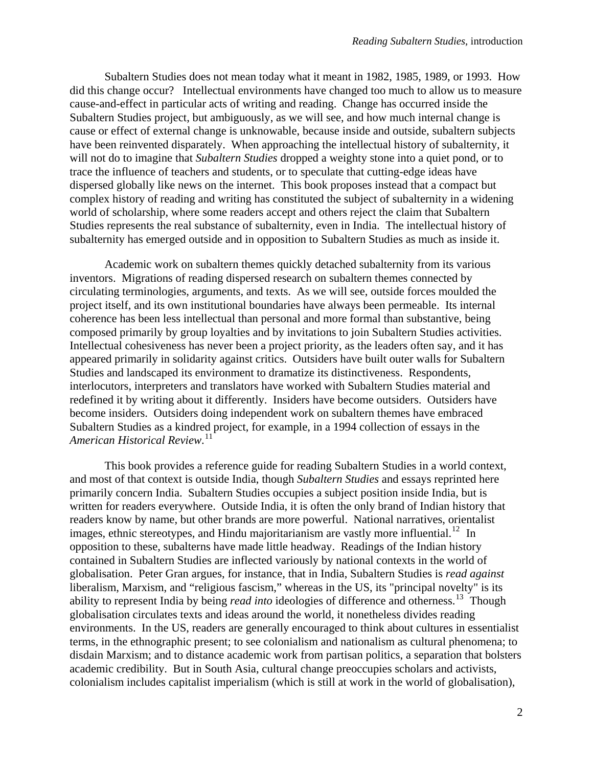Subaltern Studies does not mean today what it meant in 1982, 1985, 1989, or 1993. How did this change occur? Intellectual environments have changed too much to allow us to measure cause-and-effect in particular acts of writing and reading. Change has occurred inside the Subaltern Studies project, but ambiguously, as we will see, and how much internal change is cause or effect of external change is unknowable, because inside and outside, subaltern subjects have been reinvented disparately. When approaching the intellectual history of subalternity, it will not do to imagine that *Subaltern Studies* dropped a weighty stone into a quiet pond, or to trace the influence of teachers and students, or to speculate that cutting-edge ideas have dispersed globally like news on the internet. This book proposes instead that a compact but complex history of reading and writing has constituted the subject of subalternity in a widening world of scholarship, where some readers accept and others reject the claim that Subaltern Studies represents the real substance of subalternity, even in India. The intellectual history of subalternity has emerged outside and in opposition to Subaltern Studies as much as inside it.

Academic work on subaltern themes quickly detached subalternity from its various inventors. Migrations of reading dispersed research on subaltern themes connected by circulating terminologies, arguments, and texts. As we will see, outside forces moulded the project itself, and its own institutional boundaries have always been permeable. Its internal coherence has been less intellectual than personal and more formal than substantive, being composed primarily by group loyalties and by invitations to join Subaltern Studies activities. Intellectual cohesiveness has never been a project priority, as the leaders often say, and it has appeared primarily in solidarity against critics. Outsiders have built outer walls for Subaltern Studies and landscaped its environment to dramatize its distinctiveness. Respondents, interlocutors, interpreters and translators have worked with Subaltern Studies material and redefined it by writing about it differently. Insiders have become outsiders. Outsiders have become insiders. Outsiders doing independent work on subaltern themes have embraced Subaltern Studies as a kindred project, for example, in a 1994 collection of essays in the *American Historical Review*. [11](#page-26-1)

This book provides a reference guide for reading Subaltern Studies in a world context, and most of that context is outside India, though *Subaltern Studies* and essays reprinted here primarily concern India. Subaltern Studies occupies a subject position inside India, but is written for readers everywhere. Outside India, it is often the only brand of Indian history that readers know by name, but other brands are more powerful. National narratives, orientalist images, ethnic stereotypes, and Hindu majoritarianism are vastly more influential.<sup>[12](#page-26-1)</sup> In opposition to these, subalterns have made little headway. Readings of the Indian history contained in Subaltern Studies are inflected variously by national contexts in the world of globalisation. Peter Gran argues, for instance, that in India, Subaltern Studies is *read against* liberalism, Marxism, and "religious fascism," whereas in the US, its "principal novelty" is its ability to represent India by being *read into* ideologies of difference and otherness.[13](#page-26-1) Though globalisation circulates texts and ideas around the world, it nonetheless divides reading environments. In the US, readers are generally encouraged to think about cultures in essentialist terms, in the ethnographic present; to see colonialism and nationalism as cultural phenomena; to disdain Marxism; and to distance academic work from partisan politics, a separation that bolsters academic credibility. But in South Asia, cultural change preoccupies scholars and activists, colonialism includes capitalist imperialism (which is still at work in the world of globalisation),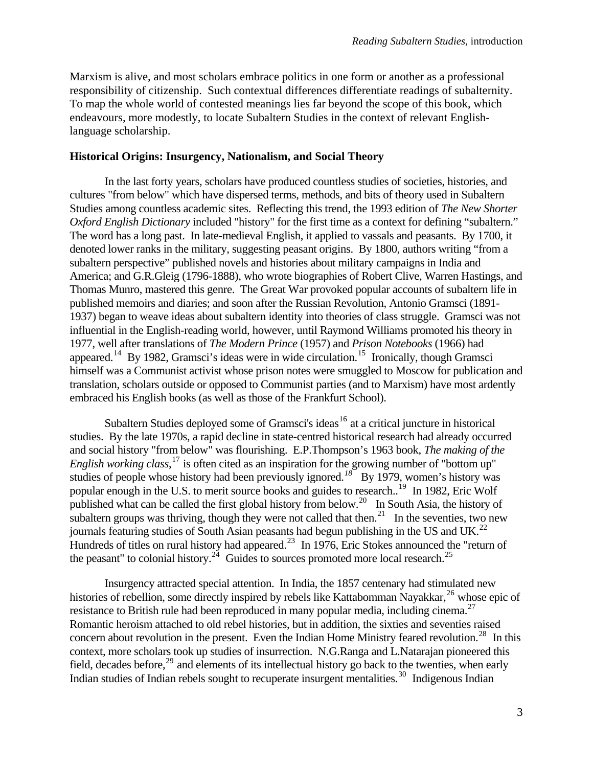Marxism is alive, and most scholars embrace politics in one form or another as a professional responsibility of citizenship. Such contextual differences differentiate readings of subalternity. To map the whole world of contested meanings lies far beyond the scope of this book, which endeavours, more modestly, to locate Subaltern Studies in the context of relevant Englishlanguage scholarship.

## **Historical Origins: Insurgency, Nationalism, and Social Theory**

In the last forty years, scholars have produced countless studies of societies, histories, and cultures "from below" which have dispersed terms, methods, and bits of theory used in Subaltern Studies among countless academic sites. Reflecting this trend, the 1993 edition of *The New Shorter Oxford English Dictionary* included "history" for the first time as a context for defining "subaltern." The word has a long past. In late-medieval English, it applied to vassals and peasants. By 1700, it denoted lower ranks in the military, suggesting peasant origins. By 1800, authors writing "from a subaltern perspective" published novels and histories about military campaigns in India and America; and G.R.Gleig (1796-1888), who wrote biographies of Robert Clive, Warren Hastings, and Thomas Munro, mastered this genre. The Great War provoked popular accounts of subaltern life in published memoirs and diaries; and soon after the Russian Revolution, Antonio Gramsci (1891- 1937) began to weave ideas about subaltern identity into theories of class struggle. Gramsci was not influential in the English-reading world, however, until Raymond Williams promoted his theory in 1977, well after translations of *The Modern Prince* (1957) and *Prison Notebooks* (1966) had appeared.<sup>[14](#page-26-1)</sup> By 1982, Gramsci's ideas were in wide circulation.<sup>[15](#page-26-1)</sup> Ironically, though Gramsci himself was a Communist activist whose prison notes were smuggled to Moscow for publication and translation, scholars outside or opposed to Communist parties (and to Marxism) have most ardently embraced his English books (as well as those of the Frankfurt School).

Subaltern Studies deployed some of Gramsci's ideas<sup>[16](#page-26-1)</sup> at a critical juncture in historical studies. By the late 1970s, a rapid decline in state-centred historical research had already occurred and social history "from below" was flourishing. E.P.Thompson's 1963 book, *The making of the English working class*, [17](#page-26-1) is often cited as an inspiration for the growing number of "bottom up" studies of people whose history had been previously ignored.*[18](#page-26-1)* By 1979, women's history was popular enough in the U.S. to merit source books and guides to research..<sup>[19](#page-26-1)</sup> In 1982, Eric Wolf published what can be called the first global history from below.<sup>[20](#page-26-1)</sup> In South Asia, the history of subaltern groups was thriving, though they were not called that then.<sup>[21](#page-26-1)</sup> In the seventies, two new journals featuring studies of South Asian peasants had begun publishing in the US and UK.<sup>[22](#page-26-1)</sup> Hundreds of titles on rural history had appeared.<sup>[23](#page-26-1)</sup> In 1976, Eric Stokes announced the "return of the peasant" to colonial history.<sup>[24](#page-26-1)</sup> Guides to sources promoted more local research.<sup>[25](#page-26-1)</sup>

Insurgency attracted special attention. In India, the 1857 centenary had stimulated new histories of rebellion, some directly inspired by rebels like Kattabomman Nayakkar,<sup>[26](#page-26-1)</sup> whose epic of resistance to British rule had been reproduced in many popular media, including cinema.[27](#page-26-1) Romantic heroism attached to old rebel histories, but in addition, the sixties and seventies raised concern about revolution in the present. Even the Indian Home Ministry feared revolution.<sup>[28](#page-26-1)</sup> In this context, more scholars took up studies of insurrection. N.G.Ranga and L.Natarajan pioneered this field, decades before,<sup>[29](#page-26-1)</sup> and elements of its intellectual history go back to the twenties, when early Indian studies of Indian rebels sought to recuperate insurgent mentalities.<sup>[30](#page-26-1)</sup> Indigenous Indian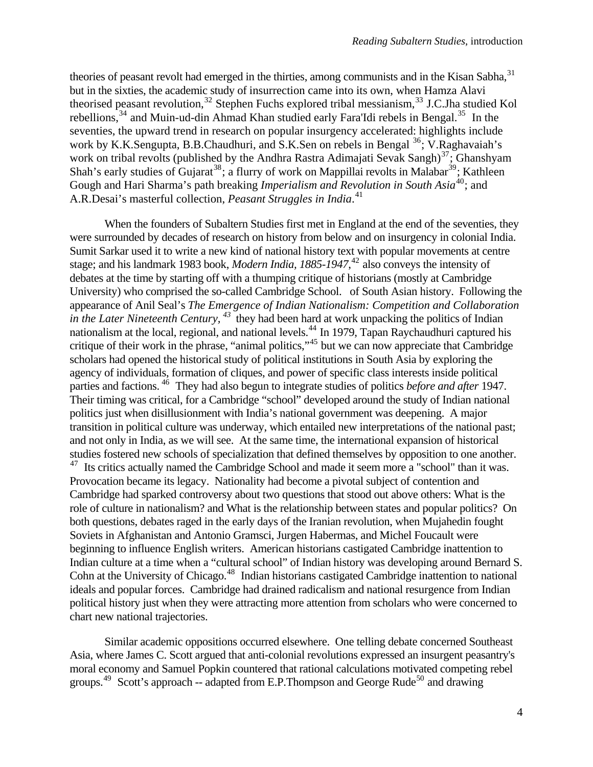theories of peasant revolt had emerged in the thirties, among communists and in the Kisan Sabha, <sup>[31](#page-26-1)</sup> but in the sixties, the academic study of insurrection came into its own, when Hamza Alavi theorised peasant revolution,<sup>[32](#page-26-1)</sup> Stephen Fuchs explored tribal messianism,<sup>[33](#page-26-1)</sup> J.C.Jha studied Kol rebellions,  $34$  and Muin-ud-din Ahmad Khan studied early Fara'Idi rebels in Bengal.  $35$  In the seventies, the upward trend in research on popular insurgency accelerated: highlights include work by K.K.Sengupta, B.B.Chaudhuri, and S.K.Sen on rebels in Bengal  $^{36}$  $^{36}$  $^{36}$ ; V.Raghavaiah's work on tribal revolts (published by the Andhra Rastra Adimajati Sevak Sangh)<sup>[37](#page-26-1)</sup>; Ghanshyam Shah's early studies of Gujarat<sup>[38](#page-26-1)</sup>; a flurry of work on Mappillai revolts in Malabar<sup>[39](#page-26-1)</sup>; Kathleen Gough and Hari Sharma's path breaking *Imperialism and Revolution in South Asia*[40](#page-26-1); and A.R.Desai's masterful collection, *Peasant Struggles in India*. [41](#page-26-1)

When the founders of Subaltern Studies first met in England at the end of the seventies, they were surrounded by decades of research on history from below and on insurgency in colonial India. Sumit Sarkar used it to write a new kind of national history text with popular movements at centre stage; and his landmark 1983 book, *Modern India, 1885-1947*, [42](#page-26-1) also conveys the intensity of debates at the time by starting off with a thumping critique of historians (mostly at Cambridge University) who comprised the so-called Cambridge School. of South Asian history. Following the appearance of Anil Seal's *The Emergence of Indian Nationalism: Competition and Collaboration in the Later Nineteenth Century*, <sup>[43](#page-26-1)</sup> they had been hard at work unpacking the politics of Indian nationalism at the local, regional, and national levels.<sup>[44](#page-26-1)</sup> In 1979, Tapan Raychaudhuri captured his critique of their work in the phrase, "animal politics,"<sup>[45](#page-26-1)</sup> but we can now appreciate that Cambridge scholars had opened the historical study of political institutions in South Asia by exploring the agency of individuals, formation of cliques, and power of specific class interests inside political parties and factions. [46](#page-26-1) They had also begun to integrate studies of politics *before and after* 1947. Their timing was critical, for a Cambridge "school" developed around the study of Indian national politics just when disillusionment with India's national government was deepening. A major transition in political culture was underway, which entailed new interpretations of the national past; and not only in India, as we will see. At the same time, the international expansion of historical studies fostered new schools of specialization that defined themselves by opposition to one another.  $47$  Its critics actually named the Cambridge School and made it seem more a "school" than it was. Provocation became its legacy. Nationality had become a pivotal subject of contention and Cambridge had sparked controversy about two questions that stood out above others: What is the role of culture in nationalism? and What is the relationship between states and popular politics? On both questions, debates raged in the early days of the Iranian revolution, when Mujahedin fought Soviets in Afghanistan and Antonio Gramsci, Jurgen Habermas, and Michel Foucault were beginning to influence English writers. American historians castigated Cambridge inattention to Indian culture at a time when a "cultural school" of Indian history was developing around Bernard S. Cohn at the University of Chicago.<sup>[48](#page-26-1)</sup> Indian historians castigated Cambridge inattention to national ideals and popular forces. Cambridge had drained radicalism and national resurgence from Indian political history just when they were attracting more attention from scholars who were concerned to chart new national trajectories.

Similar academic oppositions occurred elsewhere. One telling debate concerned Southeast Asia, where James C. Scott argued that anti-colonial revolutions expressed an insurgent peasantry's moral economy and Samuel Popkin countered that rational calculations motivated competing rebel groups.<sup>[49](#page-26-1)</sup> Scott's approach -- adapted from E.P.Thompson and George Rude<sup>[50](#page-26-1)</sup> and drawing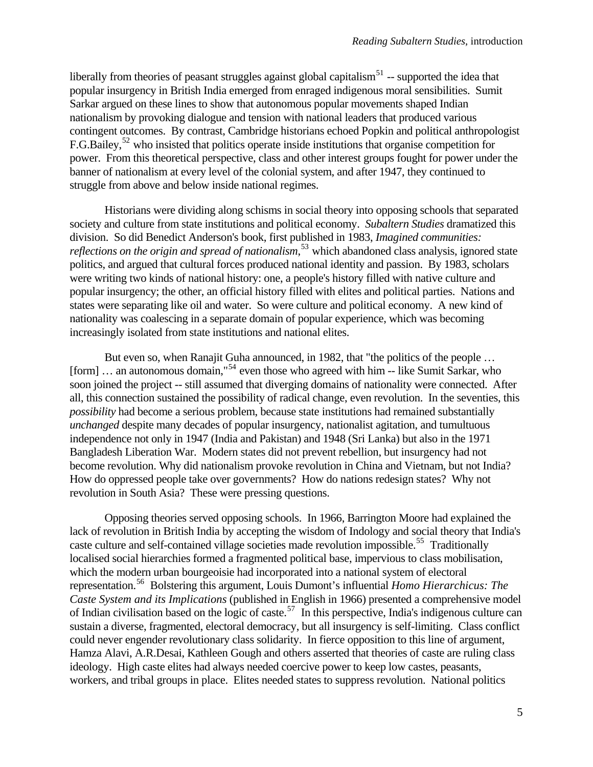liberally from theories of peasant struggles against global capitalism<sup>[51](#page-26-1)</sup> -- supported the idea that popular insurgency in British India emerged from enraged indigenous moral sensibilities. Sumit Sarkar argued on these lines to show that autonomous popular movements shaped Indian nationalism by provoking dialogue and tension with national leaders that produced various contingent outcomes. By contrast, Cambridge historians echoed Popkin and political anthropologist F.G.Bailey,<sup>[52](#page-26-1)</sup> who insisted that politics operate inside institutions that organise competition for power. From this theoretical perspective, class and other interest groups fought for power under the banner of nationalism at every level of the colonial system, and after 1947, they continued to struggle from above and below inside national regimes.

Historians were dividing along schisms in social theory into opposing schools that separated society and culture from state institutions and political economy. *Subaltern Studies* dramatized this division. So did Benedict Anderson's book, first published in 1983, *Imagined communities: reflections on the origin and spread of nationalism*, [53](#page-26-1) which abandoned class analysis, ignored state politics, and argued that cultural forces produced national identity and passion. By 1983, scholars were writing two kinds of national history: one, a people's history filled with native culture and popular insurgency; the other, an official history filled with elites and political parties. Nations and states were separating like oil and water. So were culture and political economy. A new kind of nationality was coalescing in a separate domain of popular experience, which was becoming increasingly isolated from state institutions and national elites.

But even so, when Ranajit Guha announced, in 1982, that "the politics of the people ... [form] ... an autonomous domain,"<sup>[54](#page-26-1)</sup> even those who agreed with him -- like Sumit Sarkar, who soon joined the project -- still assumed that diverging domains of nationality were connected. After all, this connection sustained the possibility of radical change, even revolution. In the seventies, this *possibility* had become a serious problem, because state institutions had remained substantially *unchanged* despite many decades of popular insurgency, nationalist agitation, and tumultuous independence not only in 1947 (India and Pakistan) and 1948 (Sri Lanka) but also in the 1971 Bangladesh Liberation War. Modern states did not prevent rebellion, but insurgency had not become revolution. Why did nationalism provoke revolution in China and Vietnam, but not India? How do oppressed people take over governments? How do nations redesign states? Why not revolution in South Asia? These were pressing questions.

Opposing theories served opposing schools. In 1966, Barrington Moore had explained the lack of revolution in British India by accepting the wisdom of Indology and social theory that India's caste culture and self-contained village societies made revolution impossible.<sup>[55](#page-26-1)</sup> Traditionally localised social hierarchies formed a fragmented political base, impervious to class mobilisation, which the modern urban bourgeoisie had incorporated into a national system of electoral representation.[56](#page-26-1) Bolstering this argument, Louis Dumont's influential *Homo Hierarchicus: The Caste System and its Implications* (published in English in 1966) presented a comprehensive model of Indian civilisation based on the logic of caste.<sup>[57](#page-26-1)</sup> In this perspective, India's indigenous culture can sustain a diverse, fragmented, electoral democracy, but all insurgency is self-limiting. Class conflict could never engender revolutionary class solidarity. In fierce opposition to this line of argument, Hamza Alavi, A.R.Desai, Kathleen Gough and others asserted that theories of caste are ruling class ideology. High caste elites had always needed coercive power to keep low castes, peasants, workers, and tribal groups in place. Elites needed states to suppress revolution. National politics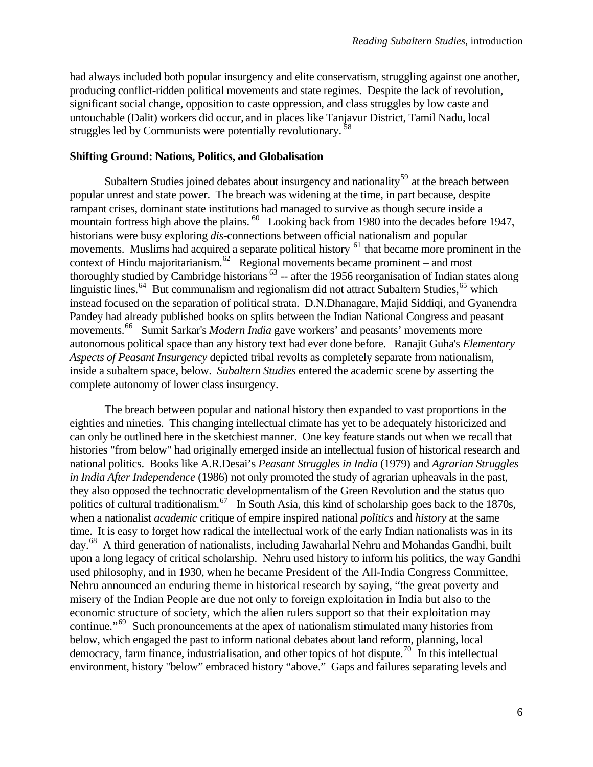had always included both popular insurgency and elite conservatism, struggling against one another, producing conflict-ridden political movements and state regimes. Despite the lack of revolution, significant social change, opposition to caste oppression, and class struggles by low caste and untouchable (Dalit) workers did occur, and in places like Tanjavur District, Tamil Nadu, local struggles led by Communists were potentially revolutionary.<sup>[58](#page-26-1)</sup>

#### **Shifting Ground: Nations, Politics, and Globalisation**

Subaltern Studies joined debates about insurgency and nationality<sup>[59](#page-26-1)</sup> at the breach between popular unrest and state power. The breach was widening at the time, in part because, despite rampant crises, dominant state institutions had managed to survive as though secure inside a mountain fortress high above the plains.<sup>[60](#page-26-1)</sup> Looking back from 1980 into the decades before 1947, historians were busy exploring *dis*-connections between official nationalism and popular movements. Muslims had acquired a separate political history <sup>[61](#page-26-1)</sup> that became more prominent in the context of Hindu majoritarianism.<sup>[62](#page-26-1)</sup> Regional movements became prominent – and most thoroughly studied by Cambridge historians<sup>[63](#page-26-1)</sup> -- after the 1956 reorganisation of Indian states along linguistic lines.<sup>[64](#page-26-1)</sup> But communalism and regionalism did not attract Subaltern Studies,  $65$  which instead focused on the separation of political strata. D.N.Dhanagare, Majid Siddiqi, and Gyanendra Pandey had already published books on splits between the Indian National Congress and peasant movements.<sup>[66](#page-26-1)</sup> Sumit Sarkar's *Modern India* gave workers' and peasants' movements more autonomous political space than any history text had ever done before. Ranajit Guha's *Elementary Aspects of Peasant Insurgency* depicted tribal revolts as completely separate from nationalism, inside a subaltern space, below. *Subaltern Studies* entered the academic scene by asserting the complete autonomy of lower class insurgency.

The breach between popular and national history then expanded to vast proportions in the eighties and nineties. This changing intellectual climate has yet to be adequately historicized and can only be outlined here in the sketchiest manner. One key feature stands out when we recall that histories "from below" had originally emerged inside an intellectual fusion of historical research and national politics. Books like A.R.Desai's *Peasant Struggles in India* (1979) and *Agrarian Struggles in India After Independence* (1986) not only promoted the study of agrarian upheavals in the past, they also opposed the technocratic developmentalism of the Green Revolution and the status quo politics of cultural traditionalism.<sup>[67](#page-26-1)</sup> In South Asia, this kind of scholarship goes back to the 1870s, when a nationalist *academic* critique of empire inspired national *politics* and *history* at the same time. It is easy to forget how radical the intellectual work of the early Indian nationalists was in its day.[68](#page-26-1) A third generation of nationalists, including Jawaharlal Nehru and Mohandas Gandhi, built upon a long legacy of critical scholarship. Nehru used history to inform his politics, the way Gandhi used philosophy, and in 1930, when he became President of the All-India Congress Committee, Nehru announced an enduring theme in historical research by saying, "the great poverty and misery of the Indian People are due not only to foreign exploitation in India but also to the economic structure of society, which the alien rulers support so that their exploitation may continue*.*"[69](#page-26-1) Such pronouncements at the apex of nationalism stimulated many histories from below, which engaged the past to inform national debates about land reform, planning, local democracy, farm finance, industrialisation, and other topics of hot dispute.<sup>[70](#page-26-1)</sup> In this intellectual environment, history "below" embraced history "above." Gaps and failures separating levels and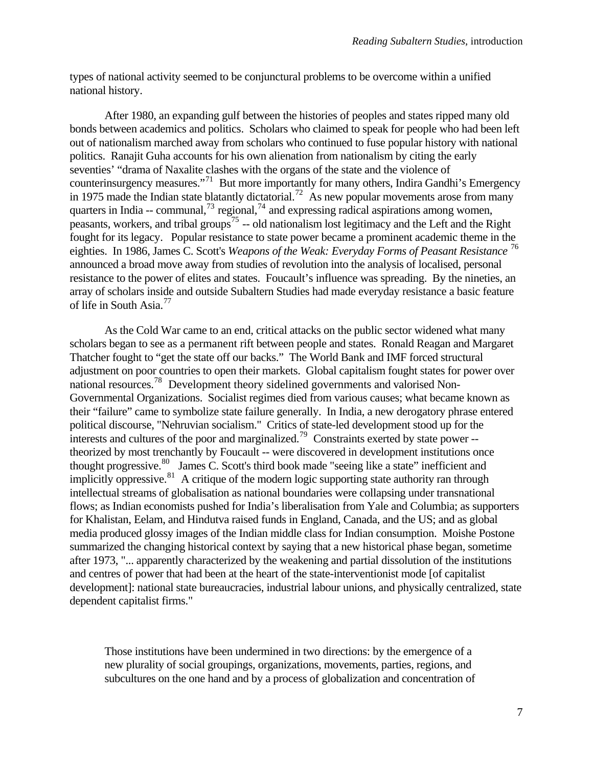types of national activity seemed to be conjunctural problems to be overcome within a unified national history.

After 1980, an expanding gulf between the histories of peoples and states ripped many old bonds between academics and politics. Scholars who claimed to speak for people who had been left out of nationalism marched away from scholars who continued to fuse popular history with national politics. Ranajit Guha accounts for his own alienation from nationalism by citing the early seventies' "drama of Naxalite clashes with the organs of the state and the violence of counterinsurgency measures."<sup>[71](#page-26-1)</sup> But more importantly for many others, Indira Gandhi's Emergency in 1975 made the Indian state blatantly dictatorial.<sup>[72](#page-26-1)</sup> As new popular movements arose from many quarters in India -- communal,  $^{73}$  $^{73}$  $^{73}$  regional,  $^{74}$  $^{74}$  $^{74}$  and expressing radical aspirations among women, peasants, workers, and tribal groups<sup>[75](#page-26-1)</sup> -- old nationalism lost legitimacy and the Left and the Right fought for its legacy. Popular resistance to state power became a prominent academic theme in the eighties. In 1986, James C. Scott's *Weapons of the Weak: Everyday Forms of Peasant Resistance* [76](#page-26-1) announced a broad move away from studies of revolution into the analysis of localised, personal resistance to the power of elites and states. Foucault's influence was spreading. By the nineties, an array of scholars inside and outside Subaltern Studies had made everyday resistance a basic feature of life in South Asia.<sup>[77](#page-26-1)</sup>

As the Cold War came to an end, critical attacks on the public sector widened what many scholars began to see as a permanent rift between people and states. Ronald Reagan and Margaret Thatcher fought to "get the state off our backs." The World Bank and IMF forced structural adjustment on poor countries to open their markets. Global capitalism fought states for power over national resources.[78](#page-26-1) Development theory sidelined governments and valorised Non-Governmental Organizations. Socialist regimes died from various causes; what became known as their "failure" came to symbolize state failure generally. In India, a new derogatory phrase entered political discourse, "Nehruvian socialism." Critics of state-led development stood up for the interests and cultures of the poor and marginalized.<sup>[79](#page-26-1)</sup> Constraints exerted by state power -theorized by most trenchantly by Foucault -- were discovered in development institutions once thought progressive.[80](#page-26-1) James C. Scott's third book made "seeing like a state" inefficient and implicitly oppressive.<sup>[81](#page-26-1)</sup> A critique of the modern logic supporting state authority ran through intellectual streams of globalisation as national boundaries were collapsing under transnational flows; as Indian economists pushed for India's liberalisation from Yale and Columbia; as supporters for Khalistan, Eelam, and Hindutva raised funds in England, Canada, and the US; and as global media produced glossy images of the Indian middle class for Indian consumption. Moishe Postone summarized the changing historical context by saying that a new historical phase began, sometime after 1973, "... apparently characterized by the weakening and partial dissolution of the institutions and centres of power that had been at the heart of the state-interventionist mode [of capitalist development]: national state bureaucracies, industrial labour unions, and physically centralized, state dependent capitalist firms."

Those institutions have been undermined in two directions: by the emergence of a new plurality of social groupings, organizations, movements, parties, regions, and subcultures on the one hand and by a process of globalization and concentration of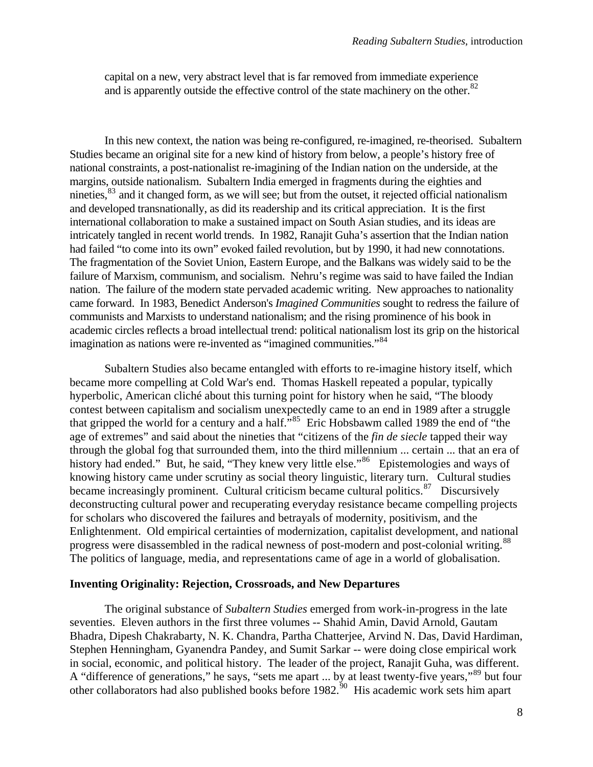capital on a new, very abstract level that is far removed from immediate experience and is apparently outside the effective control of the state machinery on the other. $82$ 

In this new context, the nation was being re-configured, re-imagined, re-theorised. Subaltern Studies became an original site for a new kind of history from below, a people's history free of national constraints, a post-nationalist re-imagining of the Indian nation on the underside, at the margins, outside nationalism. Subaltern India emerged in fragments during the eighties and nineties,<sup>[83](#page-26-1)</sup> and it changed form, as we will see; but from the outset, it rejected official nationalism and developed transnationally, as did its readership and its critical appreciation. It is the first international collaboration to make a sustained impact on South Asian studies, and its ideas are intricately tangled in recent world trends. In 1982, Ranajit Guha's assertion that the Indian nation had failed "to come into its own" evoked failed revolution, but by 1990, it had new connotations. The fragmentation of the Soviet Union, Eastern Europe, and the Balkans was widely said to be the failure of Marxism, communism, and socialism. Nehru's regime was said to have failed the Indian nation. The failure of the modern state pervaded academic writing. New approaches to nationality came forward. In 1983, Benedict Anderson's *Imagined Communities* sought to redress the failure of communists and Marxists to understand nationalism; and the rising prominence of his book in academic circles reflects a broad intellectual trend: political nationalism lost its grip on the historical imagination as nations were re-invented as "imagined communities."<sup>[84](#page-26-1)</sup>

Subaltern Studies also became entangled with efforts to re-imagine history itself, which became more compelling at Cold War's end. Thomas Haskell repeated a popular, typically hyperbolic, American cliché about this turning point for history when he said, "The bloody contest between capitalism and socialism unexpectedly came to an end in 1989 after a struggle that gripped the world for a century and a half."<sup>[85](#page-26-1)</sup> Eric Hobsbawm called 1989 the end of "the age of extremes" and said about the nineties that "citizens of the *fin de siecle* tapped their way through the global fog that surrounded them, into the third millennium ... certain ... that an era of history had ended." But, he said, "They knew very little else."<sup>[86](#page-26-1)</sup> Epistemologies and ways of knowing history came under scrutiny as social theory linguistic, literary turn. Cultural studies became increasingly prominent. Cultural criticism became cultural politics.<sup>[87](#page-26-1)</sup> Discursively deconstructing cultural power and recuperating everyday resistance became compelling projects for scholars who discovered the failures and betrayals of modernity, positivism, and the Enlightenment. Old empirical certainties of modernization, capitalist development, and national progress were disassembled in the radical newness of post-modern and post-colonial writing.<sup>[88](#page-26-1)</sup> The politics of language, media, and representations came of age in a world of globalisation.

### **Inventing Originality: Rejection, Crossroads, and New Departures**

The original substance of *Subaltern Studies* emerged from work-in-progress in the late seventies. Eleven authors in the first three volumes -- Shahid Amin, David Arnold, Gautam Bhadra, Dipesh Chakrabarty, N. K. Chandra, Partha Chatterjee, Arvind N. Das, David Hardiman, Stephen Henningham, Gyanendra Pandey, and Sumit Sarkar -- were doing close empirical work in social, economic, and political history. The leader of the project, Ranajit Guha, was different. A "difference of generations," he says, "sets me apart ... by at least twenty-five years,"[89](#page-26-1) but four other collaborators had also published books before  $1982$ .<sup>50</sup> His academic work sets him apart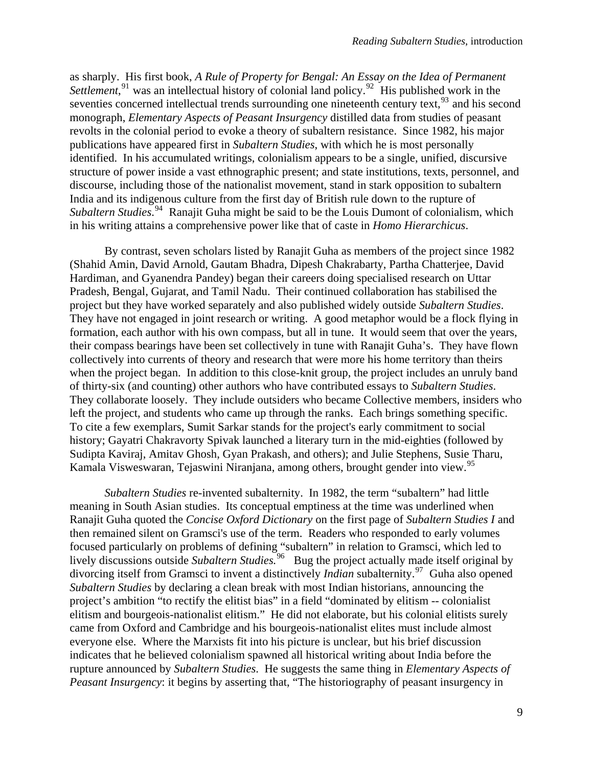as sharply. His first book, *A Rule of Property for Bengal: An Essay on the Idea of Permanent*  Settlement,<sup>[91](#page-26-1)</sup> was an intellectual history of colonial land policy.<sup>[92](#page-26-1)</sup> His published work in the seventies concerned intellectual trends surrounding one nineteenth century text,  $93$  and his second monograph, *Elementary Aspects of Peasant Insurgency* distilled data from studies of peasant revolts in the colonial period to evoke a theory of subaltern resistance. Since 1982, his major publications have appeared first in *Subaltern Studies*, with which he is most personally identified. In his accumulated writings, colonialism appears to be a single, unified, discursive structure of power inside a vast ethnographic present; and state institutions, texts, personnel, and discourse, including those of the nationalist movement, stand in stark opposition to subaltern India and its indigenous culture from the first day of British rule down to the rupture of *Subaltern Studies*. [94](#page-26-1) Ranajit Guha might be said to be the Louis Dumont of colonialism, which in his writing attains a comprehensive power like that of caste in *Homo Hierarchicus*.

By contrast, seven scholars listed by Ranajit Guha as members of the project since 1982 (Shahid Amin, David Arnold, Gautam Bhadra, Dipesh Chakrabarty, Partha Chatterjee, David Hardiman, and Gyanendra Pandey) began their careers doing specialised research on Uttar Pradesh, Bengal, Gujarat, and Tamil Nadu. Their continued collaboration has stabilised the project but they have worked separately and also published widely outside *Subaltern Studies*. They have not engaged in joint research or writing. A good metaphor would be a flock flying in formation, each author with his own compass, but all in tune. It would seem that over the years, their compass bearings have been set collectively in tune with Ranajit Guha's. They have flown collectively into currents of theory and research that were more his home territory than theirs when the project began. In addition to this close-knit group, the project includes an unruly band of thirty-six (and counting) other authors who have contributed essays to *Subaltern Studies*. They collaborate loosely. They include outsiders who became Collective members, insiders who left the project, and students who came up through the ranks. Each brings something specific. To cite a few exemplars, Sumit Sarkar stands for the project's early commitment to social history; Gayatri Chakravorty Spivak launched a literary turn in the mid-eighties (followed by Sudipta Kaviraj, Amitav Ghosh, Gyan Prakash, and others); and Julie Stephens, Susie Tharu, Kamala Visweswaran, Tejaswini Niranjana, among others, brought gender into view.<sup>[95](#page-26-1)</sup>

*Subaltern Studies* re-invented subalternity. In 1982, the term "subaltern" had little meaning in South Asian studies. Its conceptual emptiness at the time was underlined when Ranajit Guha quoted the *Concise Oxford Dictionary* on the first page of *Subaltern Studies I* and then remained silent on Gramsci's use of the term. Readers who responded to early volumes focused particularly on problems of defining "subaltern" in relation to Gramsci, which led to lively discussions outside *Subaltern Studies*.<sup>[96](#page-26-1)</sup> Bug the project actually made itself original by divorcing itself from Gramsci to invent a distinctively *Indian* subalternity.[97](#page-26-1) Guha also opened *Subaltern Studies* by declaring a clean break with most Indian historians, announcing the project's ambition "to rectify the elitist bias" in a field "dominated by elitism -- colonialist elitism and bourgeois-nationalist elitism." He did not elaborate, but his colonial elitists surely came from Oxford and Cambridge and his bourgeois-nationalist elites must include almost everyone else. Where the Marxists fit into his picture is unclear, but his brief discussion indicates that he believed colonialism spawned all historical writing about India before the rupture announced by *Subaltern Studies*. He suggests the same thing in *Elementary Aspects of Peasant Insurgency*: it begins by asserting that, "The historiography of peasant insurgency in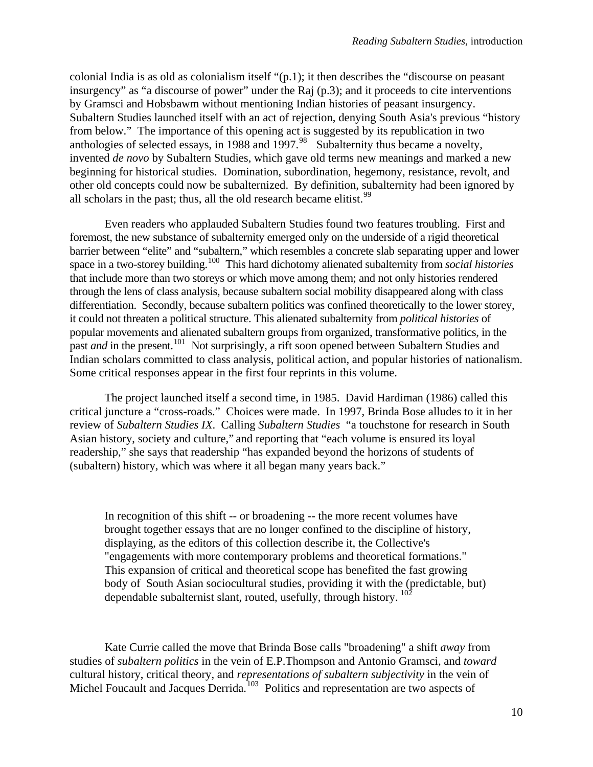colonial India is as old as colonialism itself "(p.1); it then describes the "discourse on peasant insurgency" as "a discourse of power" under the Raj (p.3); and it proceeds to cite interventions by Gramsci and Hobsbawm without mentioning Indian histories of peasant insurgency. Subaltern Studies launched itself with an act of rejection, denying South Asia's previous "history from below." The importance of this opening act is suggested by its republication in two anthologies of selected essays, in 1[98](#page-26-1)8 and  $1997.98$  Subalternity thus became a novelty, invented *de novo* by Subaltern Studies, which gave old terms new meanings and marked a new beginning for historical studies. Domination, subordination, hegemony, resistance, revolt, and other old concepts could now be subalternized. By definition, subalternity had been ignored by all scholars in the past; thus, all the old research became elitist.<sup>[99](#page-26-1)</sup>

Even readers who applauded Subaltern Studies found two features troubling. First and foremost, the new substance of subalternity emerged only on the underside of a rigid theoretical barrier between "elite" and "subaltern," which resembles a concrete slab separating upper and lower space in a two-storey building.[100](#page-26-1) This hard dichotomy alienated subalternity from *social histories* that include more than two storeys or which move among them; and not only histories rendered through the lens of class analysis, because subaltern social mobility disappeared along with class differentiation. Secondly, because subaltern politics was confined theoretically to the lower storey, it could not threaten a political structure. This alienated subalternity from *political histories* of popular movements and alienated subaltern groups from organized, transformative politics, in the past *and* in the present.<sup>[101](#page-26-1)</sup> Not surprisingly, a rift soon opened between Subaltern Studies and Indian scholars committed to class analysis, political action, and popular histories of nationalism. Some critical responses appear in the first four reprints in this volume.

The project launched itself a second time, in 1985. David Hardiman (1986) called this critical juncture a "cross-roads." Choices were made. In 1997, Brinda Bose alludes to it in her review of *Subaltern Studies IX*. Calling *Subaltern Studies* "a touchstone for research in South Asian history, society and culture," and reporting that "each volume is ensured its loyal readership," she says that readership "has expanded beyond the horizons of students of (subaltern) history, which was where it all began many years back."

In recognition of this shift -- or broadening -- the more recent volumes have brought together essays that are no longer confined to the discipline of history, displaying, as the editors of this collection describe it, the Collective's "engagements with more contemporary problems and theoretical formations." This expansion of critical and theoretical scope has benefited the fast growing body of South Asian sociocultural studies, providing it with the (predictable, but) dependable subalternist slant, routed, usefully, through history.  $102$ 

Kate Currie called the move that Brinda Bose calls "broadening" a shift *away* from studies of *subaltern politics* in the vein of E.P.Thompson and Antonio Gramsci, and *toward* cultural history, critical theory, and *representations of subaltern subjectivity* in the vein of Michel Foucault and Jacques Derrida.<sup>[103](#page-26-1)</sup> Politics and representation are two aspects of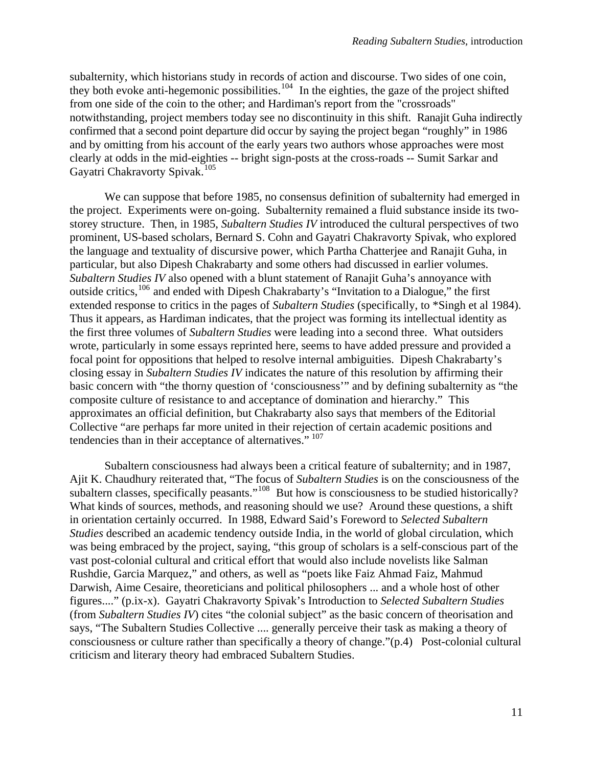subalternity, which historians study in records of action and discourse. Two sides of one coin, they both evoke anti-hegemonic possibilities.<sup>[104](#page-26-1)</sup> In the eighties, the gaze of the project shifted from one side of the coin to the other; and Hardiman's report from the "crossroads" notwithstanding, project members today see no discontinuity in this shift. Ranajit Guha indirectly confirmed that a second point departure did occur by saying the project began "roughly" in 1986 and by omitting from his account of the early years two authors whose approaches were most clearly at odds in the mid-eighties -- bright sign-posts at the cross-roads -- Sumit Sarkar and Gayatri Chakravorty Spivak.[105](#page-26-1)

We can suppose that before 1985, no consensus definition of subalternity had emerged in the project. Experiments were on-going. Subalternity remained a fluid substance inside its twostorey structure. Then, in 1985, *Subaltern Studies IV* introduced the cultural perspectives of two prominent, US-based scholars, Bernard S. Cohn and Gayatri Chakravorty Spivak, who explored the language and textuality of discursive power, which Partha Chatterjee and Ranajit Guha, in particular, but also Dipesh Chakrabarty and some others had discussed in earlier volumes. *Subaltern Studies IV* also opened with a blunt statement of Ranajit Guha's annoyance with outside critics,<sup>[106](#page-26-1)</sup> and ended with Dipesh Chakrabarty's "Invitation to a Dialogue," the first extended response to critics in the pages of *Subaltern Studies* (specifically, to \*Singh et al 1984). Thus it appears, as Hardiman indicates, that the project was forming its intellectual identity as the first three volumes of *Subaltern Studies* were leading into a second three. What outsiders wrote, particularly in some essays reprinted here, seems to have added pressure and provided a focal point for oppositions that helped to resolve internal ambiguities. Dipesh Chakrabarty's closing essay in *Subaltern Studies IV* indicates the nature of this resolution by affirming their basic concern with "the thorny question of 'consciousness'" and by defining subalternity as "the composite culture of resistance to and acceptance of domination and hierarchy." This approximates an official definition, but Chakrabarty also says that members of the Editorial Collective "are perhaps far more united in their rejection of certain academic positions and tendencies than in their acceptance of alternatives." [107](#page-26-1)

Subaltern consciousness had always been a critical feature of subalternity; and in 1987, Ajit K. Chaudhury reiterated that, "The focus of *Subaltern Studies* is on the consciousness of the subaltern classes, specifically peasants."<sup>[108](#page-26-1)</sup> But how is consciousness to be studied historically? What kinds of sources, methods, and reasoning should we use? Around these questions, a shift in orientation certainly occurred. In 1988, Edward Said's Foreword to *Selected Subaltern Studies* described an academic tendency outside India, in the world of global circulation, which was being embraced by the project, saying, "this group of scholars is a self-conscious part of the vast post-colonial cultural and critical effort that would also include novelists like Salman Rushdie, Garcia Marquez," and others, as well as "poets like Faiz Ahmad Faiz, Mahmud Darwish, Aime Cesaire, theoreticians and political philosophers ... and a whole host of other figures...." (p.ix-x). Gayatri Chakravorty Spivak's Introduction to *Selected Subaltern Studies* (from *Subaltern Studies IV*) cites "the colonial subject" as the basic concern of theorisation and says, "The Subaltern Studies Collective .... generally perceive their task as making a theory of consciousness or culture rather than specifically a theory of change."(p.4) Post-colonial cultural criticism and literary theory had embraced Subaltern Studies.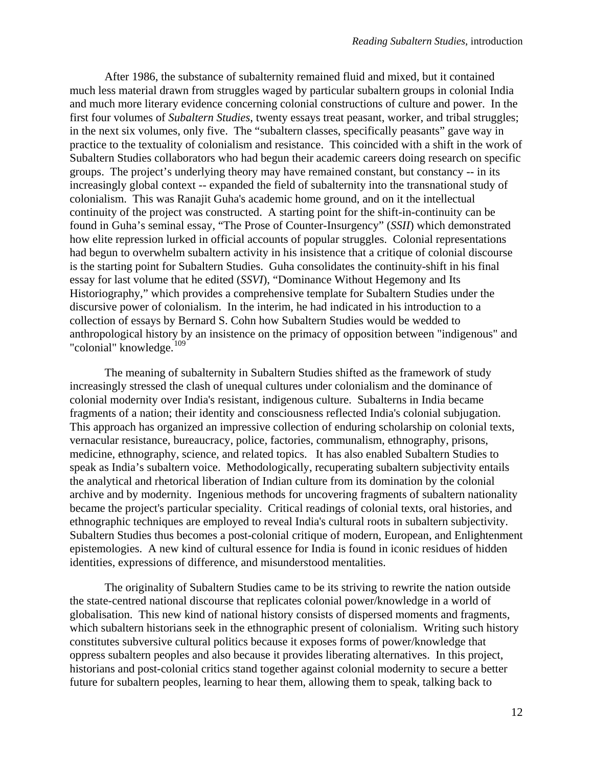After 1986, the substance of subalternity remained fluid and mixed, but it contained much less material drawn from struggles waged by particular subaltern groups in colonial India and much more literary evidence concerning colonial constructions of culture and power. In the first four volumes of *Subaltern Studies*, twenty essays treat peasant, worker, and tribal struggles; in the next six volumes, only five. The "subaltern classes, specifically peasants" gave way in practice to the textuality of colonialism and resistance. This coincided with a shift in the work of Subaltern Studies collaborators who had begun their academic careers doing research on specific groups. The project's underlying theory may have remained constant, but constancy -- in its increasingly global context -- expanded the field of subalternity into the transnational study of colonialism. This was Ranajit Guha's academic home ground, and on it the intellectual continuity of the project was constructed. A starting point for the shift-in-continuity can be found in Guha's seminal essay, "The Prose of Counter-Insurgency" (*SSII*) which demonstrated how elite repression lurked in official accounts of popular struggles. Colonial representations had begun to overwhelm subaltern activity in his insistence that a critique of colonial discourse is the starting point for Subaltern Studies. Guha consolidates the continuity-shift in his final essay for last volume that he edited (*SSVI*), "Dominance Without Hegemony and Its Historiography," which provides a comprehensive template for Subaltern Studies under the discursive power of colonialism. In the interim, he had indicated in his introduction to a collection of essays by Bernard S. Cohn how Subaltern Studies would be wedded to anthropological history by an insistence on the primacy of opposition between "indigenous" and "colonial" knowledge.<sup>[109](#page-26-1)</sup>

The meaning of subalternity in Subaltern Studies shifted as the framework of study increasingly stressed the clash of unequal cultures under colonialism and the dominance of colonial modernity over India's resistant, indigenous culture. Subalterns in India became fragments of a nation; their identity and consciousness reflected India's colonial subjugation. This approach has organized an impressive collection of enduring scholarship on colonial texts, vernacular resistance, bureaucracy, police, factories, communalism, ethnography, prisons, medicine, ethnography, science, and related topics. It has also enabled Subaltern Studies to speak as India's subaltern voice. Methodologically, recuperating subaltern subjectivity entails the analytical and rhetorical liberation of Indian culture from its domination by the colonial archive and by modernity. Ingenious methods for uncovering fragments of subaltern nationality became the project's particular speciality. Critical readings of colonial texts, oral histories, and ethnographic techniques are employed to reveal India's cultural roots in subaltern subjectivity. Subaltern Studies thus becomes a post-colonial critique of modern, European, and Enlightenment epistemologies. A new kind of cultural essence for India is found in iconic residues of hidden identities, expressions of difference, and misunderstood mentalities.

The originality of Subaltern Studies came to be its striving to rewrite the nation outside the state-centred national discourse that replicates colonial power/knowledge in a world of globalisation. This new kind of national history consists of dispersed moments and fragments, which subaltern historians seek in the ethnographic present of colonialism. Writing such history constitutes subversive cultural politics because it exposes forms of power/knowledge that oppress subaltern peoples and also because it provides liberating alternatives. In this project, historians and post-colonial critics stand together against colonial modernity to secure a better future for subaltern peoples, learning to hear them, allowing them to speak, talking back to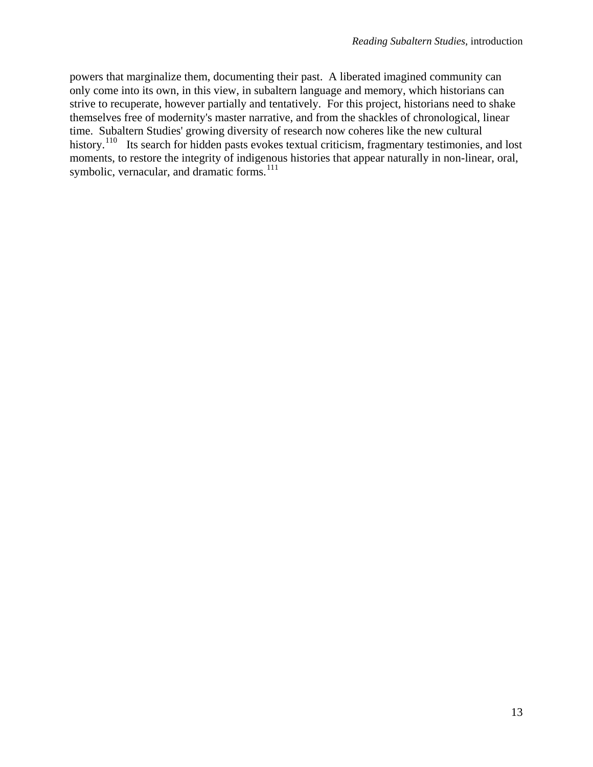powers that marginalize them, documenting their past. A liberated imagined community can only come into its own, in this view, in subaltern language and memory, which historians can strive to recuperate, however partially and tentatively. For this project, historians need to shake themselves free of modernity's master narrative, and from the shackles of chronological, linear time. Subaltern Studies' growing diversity of research now coheres like the new cultural history.<sup>[110](#page-26-1)</sup> Its search for hidden pasts evokes textual criticism, fragmentary testimonies, and lost moments, to restore the integrity of indigenous histories that appear naturally in non-linear, oral, symbolic, vernacular, and dramatic forms.<sup>[111](#page-26-1)</sup>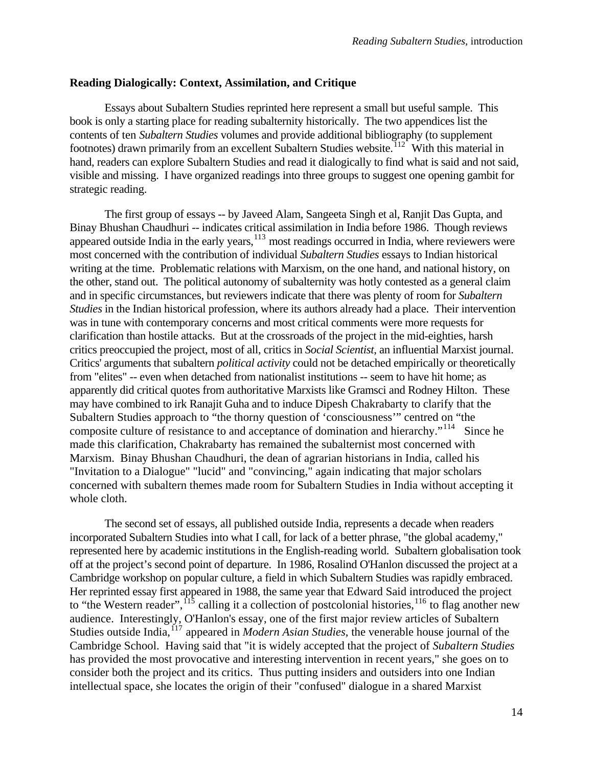# **Reading Dialogically: Context, Assimilation, and Critique**

Essays about Subaltern Studies reprinted here represent a small but useful sample. This book is only a starting place for reading subalternity historically. The two appendices list the contents of ten *Subaltern Studies* volumes and provide additional bibliography (to supplement footnotes) drawn primarily from an excellent Subaltern Studies website.<sup>[112](#page-26-1)</sup> With this material in hand, readers can explore Subaltern Studies and read it dialogically to find what is said and not said, visible and missing. I have organized readings into three groups to suggest one opening gambit for strategic reading.

The first group of essays -- by Javeed Alam, Sangeeta Singh et al, Ranjit Das Gupta, and Binay Bhushan Chaudhuri -- indicates critical assimilation in India before 1986. Though reviews appeared outside India in the early years, $113 \text{ most readings occurred in India}$  $113 \text{ most readings occurred in India}$ , where reviewers were most concerned with the contribution of individual *Subaltern Studies* essays to Indian historical writing at the time. Problematic relations with Marxism, on the one hand, and national history, on the other, stand out. The political autonomy of subalternity was hotly contested as a general claim and in specific circumstances, but reviewers indicate that there was plenty of room for *Subaltern Studies* in the Indian historical profession, where its authors already had a place. Their intervention was in tune with contemporary concerns and most critical comments were more requests for clarification than hostile attacks. But at the crossroads of the project in the mid-eighties, harsh critics preoccupied the project, most of all, critics in *Social Scientist*, an influential Marxist journal. Critics' arguments that subaltern *political activity* could not be detached empirically or theoretically from "elites" -- even when detached from nationalist institutions -- seem to have hit home; as apparently did critical quotes from authoritative Marxists like Gramsci and Rodney Hilton. These may have combined to irk Ranajit Guha and to induce Dipesh Chakrabarty to clarify that the Subaltern Studies approach to "the thorny question of 'consciousness'" centred on "the composite culture of resistance to and acceptance of domination and hierarchy."<sup>[114](#page-26-1)</sup> Since he made this clarification, Chakrabarty has remained the subalternist most concerned with Marxism. Binay Bhushan Chaudhuri, the dean of agrarian historians in India, called his "Invitation to a Dialogue" "lucid" and "convincing," again indicating that major scholars concerned with subaltern themes made room for Subaltern Studies in India without accepting it whole cloth.

The second set of essays, all published outside India, represents a decade when readers incorporated Subaltern Studies into what I call, for lack of a better phrase, "the global academy," represented here by academic institutions in the English-reading world. Subaltern globalisation took off at the project's second point of departure. In 1986, Rosalind O'Hanlon discussed the project at a Cambridge workshop on popular culture, a field in which Subaltern Studies was rapidly embraced. Her reprinted essay first appeared in 1988, the same year that Edward Said introduced the project to "the Western reader",  $^{115}$  $^{115}$  $^{115}$  calling it a collection of postcolonial histories,  $^{116}$  $^{116}$  $^{116}$  to flag another new audience. Interestingly, O'Hanlon's essay, one of the first major review articles of Subaltern Studies outside India, <sup>[117](#page-26-1)</sup> appeared in *Modern Asian Studies*, the venerable house journal of the Cambridge School. Having said that "it is widely accepted that the project of *Subaltern Studies* has provided the most provocative and interesting intervention in recent years," she goes on to consider both the project and its critics. Thus putting insiders and outsiders into one Indian intellectual space, she locates the origin of their "confused" dialogue in a shared Marxist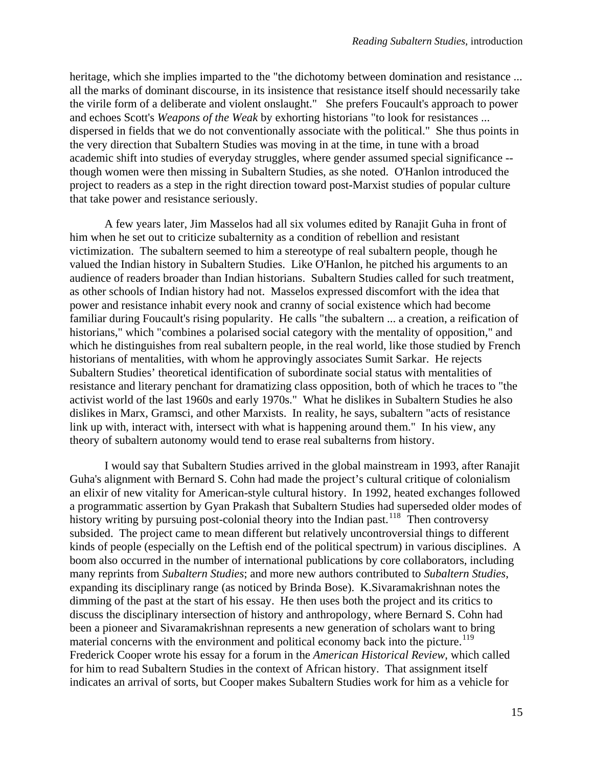heritage, which she implies imparted to the "the dichotomy between domination and resistance ... all the marks of dominant discourse, in its insistence that resistance itself should necessarily take the virile form of a deliberate and violent onslaught." She prefers Foucault's approach to power and echoes Scott's *Weapons of the Weak* by exhorting historians "to look for resistances ... dispersed in fields that we do not conventionally associate with the political." She thus points in the very direction that Subaltern Studies was moving in at the time, in tune with a broad academic shift into studies of everyday struggles, where gender assumed special significance - though women were then missing in Subaltern Studies, as she noted. O'Hanlon introduced the project to readers as a step in the right direction toward post-Marxist studies of popular culture that take power and resistance seriously.

A few years later, Jim Masselos had all six volumes edited by Ranajit Guha in front of him when he set out to criticize subalternity as a condition of rebellion and resistant victimization. The subaltern seemed to him a stereotype of real subaltern people, though he valued the Indian history in Subaltern Studies. Like O'Hanlon, he pitched his arguments to an audience of readers broader than Indian historians. Subaltern Studies called for such treatment, as other schools of Indian history had not. Masselos expressed discomfort with the idea that power and resistance inhabit every nook and cranny of social existence which had become familiar during Foucault's rising popularity. He calls "the subaltern ... a creation, a reification of historians," which "combines a polarised social category with the mentality of opposition," and which he distinguishes from real subaltern people, in the real world, like those studied by French historians of mentalities, with whom he approvingly associates Sumit Sarkar. He rejects Subaltern Studies' theoretical identification of subordinate social status with mentalities of resistance and literary penchant for dramatizing class opposition, both of which he traces to "the activist world of the last 1960s and early 1970s." What he dislikes in Subaltern Studies he also dislikes in Marx, Gramsci, and other Marxists. In reality, he says, subaltern "acts of resistance link up with, interact with, intersect with what is happening around them." In his view, any theory of subaltern autonomy would tend to erase real subalterns from history.

I would say that Subaltern Studies arrived in the global mainstream in 1993, after Ranajit Guha's alignment with Bernard S. Cohn had made the project's cultural critique of colonialism an elixir of new vitality for American-style cultural history. In 1992, heated exchanges followed a programmatic assertion by Gyan Prakash that Subaltern Studies had superseded older modes of history writing by pursuing post-colonial theory into the Indian past.<sup>[118](#page-26-1)</sup> Then controversy subsided. The project came to mean different but relatively uncontroversial things to different kinds of people (especially on the Leftish end of the political spectrum) in various disciplines. A boom also occurred in the number of international publications by core collaborators, including many reprints from *Subaltern Studies*; and more new authors contributed to *Subaltern Studies*, expanding its disciplinary range (as noticed by Brinda Bose). K.Sivaramakrishnan notes the dimming of the past at the start of his essay. He then uses both the project and its critics to discuss the disciplinary intersection of history and anthropology, where Bernard S. Cohn had been a pioneer and Sivaramakrishnan represents a new generation of scholars want to bring material concerns with the environment and political economy back into the picture.<sup>[119](#page-26-1)</sup> Frederick Cooper wrote his essay for a forum in the *American Historical Review*, which called for him to read Subaltern Studies in the context of African history. That assignment itself indicates an arrival of sorts, but Cooper makes Subaltern Studies work for him as a vehicle for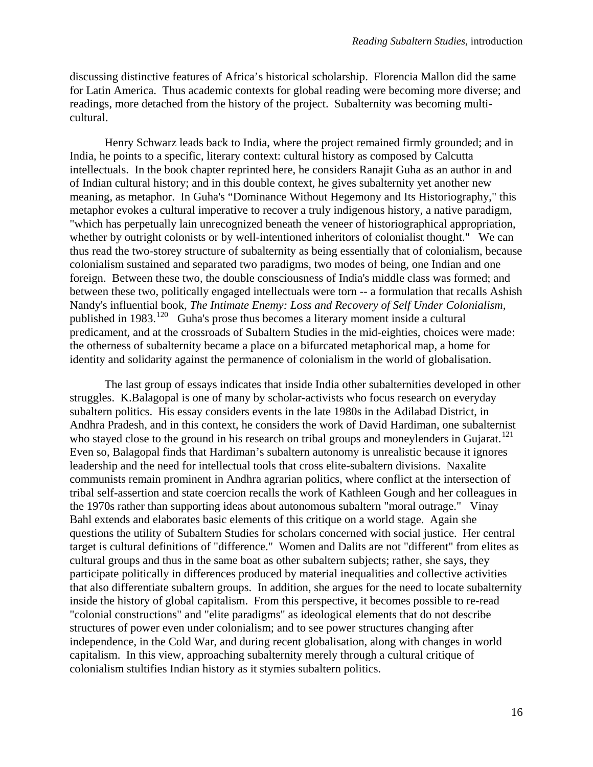discussing distinctive features of Africa's historical scholarship. Florencia Mallon did the same for Latin America. Thus academic contexts for global reading were becoming more diverse; and readings, more detached from the history of the project. Subalternity was becoming multicultural.

Henry Schwarz leads back to India, where the project remained firmly grounded; and in India, he points to a specific, literary context: cultural history as composed by Calcutta intellectuals. In the book chapter reprinted here, he considers Ranajit Guha as an author in and of Indian cultural history; and in this double context, he gives subalternity yet another new meaning, as metaphor. In Guha's "Dominance Without Hegemony and Its Historiography," this metaphor evokes a cultural imperative to recover a truly indigenous history, a native paradigm, "which has perpetually lain unrecognized beneath the veneer of historiographical appropriation, whether by outright colonists or by well-intentioned inheritors of colonialist thought." We can thus read the two-storey structure of subalternity as being essentially that of colonialism, because colonialism sustained and separated two paradigms, two modes of being, one Indian and one foreign. Between these two, the double consciousness of India's middle class was formed; and between these two, politically engaged intellectuals were torn -- a formulation that recalls Ashish Nandy's influential book, *The Intimate Enemy: Loss and Recovery of Self Under Colonialism,* published in 1983.<sup>[120](#page-26-1)</sup> Guha's prose thus becomes a literary moment inside a cultural predicament, and at the crossroads of Subaltern Studies in the mid-eighties, choices were made: the otherness of subalternity became a place on a bifurcated metaphorical map, a home for identity and solidarity against the permanence of colonialism in the world of globalisation.

The last group of essays indicates that inside India other subalternities developed in other struggles. K.Balagopal is one of many by scholar-activists who focus research on everyday subaltern politics. His essay considers events in the late 1980s in the Adilabad District, in Andhra Pradesh, and in this context, he considers the work of David Hardiman, one subalternist who stayed close to the ground in his research on tribal groups and moneylenders in Gujarat.<sup>[121](#page-26-1)</sup> Even so, Balagopal finds that Hardiman's subaltern autonomy is unrealistic because it ignores leadership and the need for intellectual tools that cross elite-subaltern divisions. Naxalite communists remain prominent in Andhra agrarian politics, where conflict at the intersection of tribal self-assertion and state coercion recalls the work of Kathleen Gough and her colleagues in the 1970s rather than supporting ideas about autonomous subaltern "moral outrage." Vinay Bahl extends and elaborates basic elements of this critique on a world stage. Again she questions the utility of Subaltern Studies for scholars concerned with social justice. Her central target is cultural definitions of "difference." Women and Dalits are not "different" from elites as cultural groups and thus in the same boat as other subaltern subjects; rather, she says, they participate politically in differences produced by material inequalities and collective activities that also differentiate subaltern groups. In addition, she argues for the need to locate subalternity inside the history of global capitalism. From this perspective, it becomes possible to re-read "colonial constructions" and "elite paradigms" as ideological elements that do not describe structures of power even under colonialism; and to see power structures changing after independence, in the Cold War, and during recent globalisation, along with changes in world capitalism. In this view, approaching subalternity merely through a cultural critique of colonialism stultifies Indian history as it stymies subaltern politics.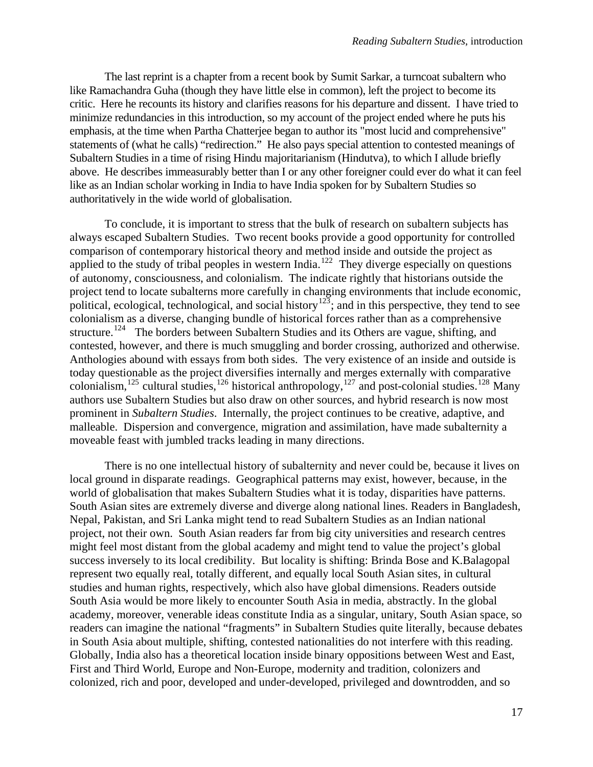The last reprint is a chapter from a recent book by Sumit Sarkar, a turncoat subaltern who like Ramachandra Guha (though they have little else in common), left the project to become its critic. Here he recounts its history and clarifies reasons for his departure and dissent. I have tried to minimize redundancies in this introduction, so my account of the project ended where he puts his emphasis, at the time when Partha Chatterjee began to author its "most lucid and comprehensive" statements of (what he calls) "redirection." He also pays special attention to contested meanings of Subaltern Studies in a time of rising Hindu majoritarianism (Hindutva), to which I allude briefly above. He describes immeasurably better than I or any other foreigner could ever do what it can feel like as an Indian scholar working in India to have India spoken for by Subaltern Studies so authoritatively in the wide world of globalisation.

To conclude, it is important to stress that the bulk of research on subaltern subjects has always escaped Subaltern Studies. Two recent books provide a good opportunity for controlled comparison of contemporary historical theory and method inside and outside the project as applied to the study of tribal peoples in western India.<sup>[122](#page-26-1)</sup> They diverge especially on questions of autonomy, consciousness, and colonialism. The indicate rightly that historians outside the project tend to locate subalterns more carefully in changing environments that include economic, political, ecological, technological, and social history<sup>[123](#page-26-1)</sup>; and in this perspective, they tend to see colonialism as a diverse, changing bundle of historical forces rather than as a comprehensive structure.<sup>[124](#page-26-1)</sup> The borders between Subaltern Studies and its Others are vague, shifting, and contested, however, and there is much smuggling and border crossing, authorized and otherwise. Anthologies abound with essays from both sides. The very existence of an inside and outside is today questionable as the project diversifies internally and merges externally with comparative colonialism,<sup>[125](#page-26-1)</sup> cultural studies,<sup>[126](#page-26-1)</sup> historical anthropology,<sup>[127](#page-26-1)</sup> and post-colonial studies.<sup>[128](#page-26-1)</sup> Many authors use Subaltern Studies but also draw on other sources, and hybrid research is now most prominent in *Subaltern Studies*. Internally, the project continues to be creative, adaptive, and malleable. Dispersion and convergence, migration and assimilation, have made subalternity a moveable feast with jumbled tracks leading in many directions.

There is no one intellectual history of subalternity and never could be, because it lives on local ground in disparate readings. Geographical patterns may exist, however, because, in the world of globalisation that makes Subaltern Studies what it is today, disparities have patterns. South Asian sites are extremely diverse and diverge along national lines. Readers in Bangladesh, Nepal, Pakistan, and Sri Lanka might tend to read Subaltern Studies as an Indian national project, not their own. South Asian readers far from big city universities and research centres might feel most distant from the global academy and might tend to value the project's global success inversely to its local credibility. But locality is shifting: Brinda Bose and K.Balagopal represent two equally real, totally different, and equally local South Asian sites, in cultural studies and human rights, respectively, which also have global dimensions. Readers outside South Asia would be more likely to encounter South Asia in media, abstractly. In the global academy, moreover, venerable ideas constitute India as a singular, unitary, South Asian space, so readers can imagine the national "fragments" in Subaltern Studies quite literally, because debates in South Asia about multiple, shifting, contested nationalities do not interfere with this reading. Globally, India also has a theoretical location inside binary oppositions between West and East, First and Third World, Europe and Non-Europe, modernity and tradition, colonizers and colonized, rich and poor, developed and under-developed, privileged and downtrodden, and so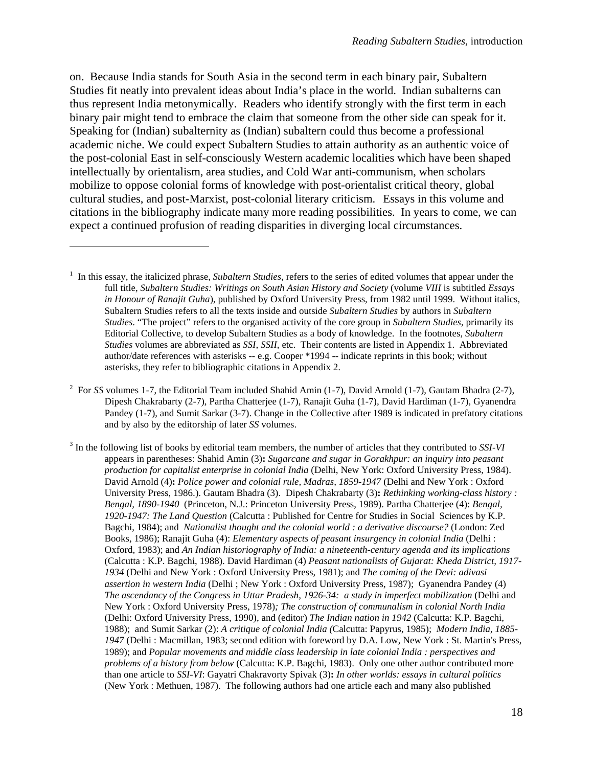on. Because India stands for South Asia in the second term in each binary pair, Subaltern Studies fit neatly into prevalent ideas about India's place in the world. Indian subalterns can thus represent India metonymically. Readers who identify strongly with the first term in each binary pair might tend to embrace the claim that someone from the other side can speak for it. Speaking for (Indian) subalternity as (Indian) subaltern could thus become a professional academic niche. We could expect Subaltern Studies to attain authority as an authentic voice of the post-colonial East in self-consciously Western academic localities which have been shaped intellectually by orientalism, area studies, and Cold War anti-communism, when scholars mobilize to oppose colonial forms of knowledge with post-orientalist critical theory, global cultural studies, and post-Marxist, post-colonial literary criticism. Essays in this volume and citations in the bibliography indicate many more reading possibilities. In years to come, we can expect a continued profusion of reading disparities in diverging local circumstances.

 $\overline{a}$ 

- <sup>2</sup> For *SS* volumes 1-7, the Editorial Team included Shahid Amin (1-7), David Arnold (1-7), Gautam Bhadra (2-7), Dipesh Chakrabarty (2-7), Partha Chatterjee (1-7), Ranajit Guha (1-7), David Hardiman (1-7), Gyanendra Pandey (1-7), and Sumit Sarkar (3-7). Change in the Collective after 1989 is indicated in prefatory citations and by also by the editorship of later *SS* volumes.
- 3 In the following list of books by editorial team members, the number of articles that they contributed to *SSI-VI* appears in parentheses: Shahid Amin (3)**:** *Sugarcane and sugar in Gorakhpur: an inquiry into peasant production for capitalist enterprise in colonial India* (Delhi, New York: Oxford University Press, 1984). David Arnold (4)**:** *Police power and colonial rule, Madras, 1859-1947* (Delhi and New York : Oxford University Press, 1986.). Gautam Bhadra (3). Dipesh Chakrabarty (3)**:** *Rethinking working-class history : Bengal, 1890-1940* (Princeton, N.J.: Princeton University Press, 1989). Partha Chatterjee (4): *Bengal, 1920-1947: The Land Question* (Calcutta : Published for Centre for Studies in Social Sciences by K.P. Bagchi, 1984); and *Nationalist thought and the colonial world : a derivative discourse?* (London: Zed Books, 1986); Ranajit Guha (4): *Elementary aspects of peasant insurgency in colonial India* (Delhi : Oxford, 1983); and *An Indian historiography of India: a nineteenth-century agenda and its implications* (Calcutta : K.P. Bagchi, 1988). David Hardiman (4) *Peasant nationalists of Gujarat: Kheda District, 1917- 1934* (Delhi and New York : Oxford University Press, 1981); and *The coming of the Devi: adivasi assertion in western India* (Delhi ; New York : Oxford University Press, 1987); Gyanendra Pandey (4) *The ascendancy of the Congress in Uttar Pradesh, 1926-34: a study in imperfect mobilization* (Delhi and New York : Oxford University Press, 1978)*; The construction of communalism in colonial North India* (Delhi: Oxford University Press, 1990), and (editor) *The Indian nation in 1942* (Calcutta: K.P. Bagchi, 1988); and Sumit Sarkar (2): *A critique of colonial India (*Calcutta: Papyrus, 1985); *Modern India, 1885- 1947* (Delhi : Macmillan, 1983; second edition with foreword by D.A. Low, New York : St. Martin's Press, 1989); and *Popular movements and middle class leadership in late colonial India : perspectives and problems of a history from below* (Calcutta: K.P. Bagchi, 1983). Only one other author contributed more than one article to *SSI-VI*: Gayatri Chakravorty Spivak (3)**:** *In other worlds: essays in cultural politics* (New York : Methuen, 1987). The following authors had one article each and many also published

<sup>&</sup>lt;sup>1</sup> In this essay, the italicized phrase, *Subaltern Studies*, refers to the series of edited volumes that appear under the full title, *Subaltern Studies: Writings on South Asian History and Society* (volume *VIII* is subtitled *Essays in Honour of Ranajit Guha*), published by Oxford University Press, from 1982 until 1999. Without italics, Subaltern Studies refers to all the texts inside and outside *Subaltern Studies* by authors in *Subaltern Studies*. "The project" refers to the organised activity of the core group in *Subaltern Studies*, primarily its Editorial Collective, to develop Subaltern Studies as a body of knowledge. In the footnotes, *Subaltern Studies* volumes are abbreviated as *SSI*, *SSII*, etc. Their contents are listed in Appendix 1. Abbreviated author/date references with asterisks -- e.g. Cooper \*1994 -- indicate reprints in this book; without asterisks, they refer to bibliographic citations in Appendix 2.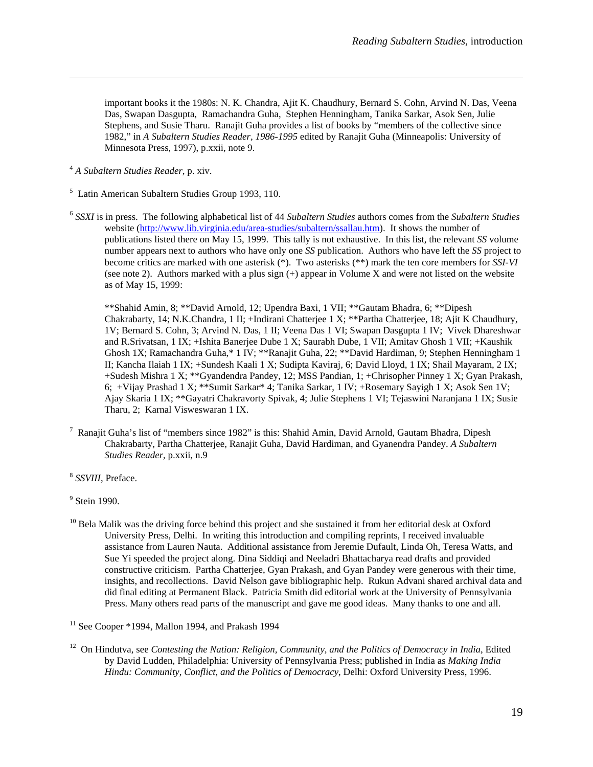important books it the 1980s: N. K. Chandra, Ajit K. Chaudhury, Bernard S. Cohn, Arvind N. Das, Veena Das, Swapan Dasgupta, Ramachandra Guha, Stephen Henningham, Tanika Sarkar, Asok Sen, Julie Stephens, and Susie Tharu. Ranajit Guha provides a list of books by "members of the collective since 1982," in *A Subaltern Studies Reader, 1986-1995* edited by Ranajit Guha (Minneapolis: University of Minnesota Press, 1997), p.xxii, note 9.

<sup>4</sup> *A Subaltern Studies Reader,* p. xiv.

1

<sup>5</sup> Latin American Subaltern Studies Group 1993, 110.

<sup>6</sup> *SSXI* is in press. The following alphabetical list of 44 *Subaltern Studies* authors comes from the *Subaltern Studies* website [\(http://www.lib.virginia.edu/area-studies/subaltern/ssallau.htm](http://www.lib.virginia.edu/area-studies/subaltern/ssallau.htm)). It shows the number of publications listed there on May 15, 1999. This tally is not exhaustive. In this list, the relevant *SS* volume number appears next to authors who have only one *SS* publication. Authors who have left the *SS* project to become critics are marked with one asterisk (\*). Two asterisks (\*\*) mark the ten core members for *SSI-VI* (see note 2). Authors marked with a plus sign  $(+)$  appear in Volume X and were not listed on the website as of May 15, 1999:

 \*\*Shahid Amin, 8; \*\*David Arnold, 12; Upendra Baxi, 1 VII; \*\*Gautam Bhadra, 6; \*\*Dipesh Chakrabarty, 14; N.K.Chandra, 1 II; +Indirani Chatterjee 1 X; \*\*Partha Chatterjee, 18; Ajit K Chaudhury, 1V; Bernard S. Cohn, 3; Arvind N. Das, 1 II; Veena Das 1 VI; Swapan Dasgupta 1 IV; Vivek Dhareshwar and R.Srivatsan, 1 IX; +Ishita Banerjee Dube 1 X; Saurabh Dube, 1 VII; Amitav Ghosh 1 VII; +Kaushik Ghosh 1X; Ramachandra Guha,\* 1 IV; \*\*Ranajit Guha, 22; \*\*David Hardiman, 9; Stephen Henningham 1 II; Kancha Ilaiah 1 IX; +Sundesh Kaali 1 X; Sudipta Kaviraj, 6; David Lloyd, 1 IX; Shail Mayaram, 2 IX; +Sudesh Mishra 1 X; \*\*Gyandendra Pandey, 12; MSS Pandian, 1; +Chrisopher Pinney 1 X; Gyan Prakash, 6; +Vijay Prashad 1 X; \*\*Sumit Sarkar\* 4; Tanika Sarkar, 1 IV; +Rosemary Sayigh 1 X; Asok Sen 1V; Ajay Skaria 1 IX; \*\*Gayatri Chakravorty Spivak, 4; Julie Stephens 1 VI; Tejaswini Naranjana 1 IX; Susie Tharu, 2; Karnal Visweswaran 1 IX.

- <sup>7</sup> Ranajit Guha's list of "members since 1982" is this: Shahid Amin, David Arnold, Gautam Bhadra, Dipesh Chakrabarty, Partha Chatterjee, Ranajit Guha, David Hardiman, and Gyanendra Pandey. *A Subaltern Studies Reader*, p.xxii, n.9
- <sup>8</sup> *SSVIII*, Preface.

<sup>9</sup> Stein 1990.

<sup>10</sup> Bela Malik was the driving force behind this project and she sustained it from her editorial desk at Oxford University Press, Delhi. In writing this introduction and compiling reprints, I received invaluable assistance from Lauren Nauta. Additional assistance from Jeremie Dufault, Linda Oh, Teresa Watts, and Sue Yi speeded the project along. Dina Siddiqi and Neeladri Bhattacharya read drafts and provided constructive criticism. Partha Chatterjee, Gyan Prakash, and Gyan Pandey were generous with their time, insights, and recollections. David Nelson gave bibliographic help. Rukun Advani shared archival data and did final editing at Permanent Black. Patricia Smith did editorial work at the University of Pennsylvania Press. Many others read parts of the manuscript and gave me good ideas. Many thanks to one and all.

 $11$  See Cooper \*1994, Mallon 1994, and Prakash 1994

12 On Hindutva, see *Contesting the Nation: Religion, Community, and the Politics of Democracy in India*, Edited by David Ludden, Philadelphia: University of Pennsylvania Press; published in India as *Making India Hindu: Community, Conflict, and the Politics of Democracy*, Delhi: Oxford University Press, 1996.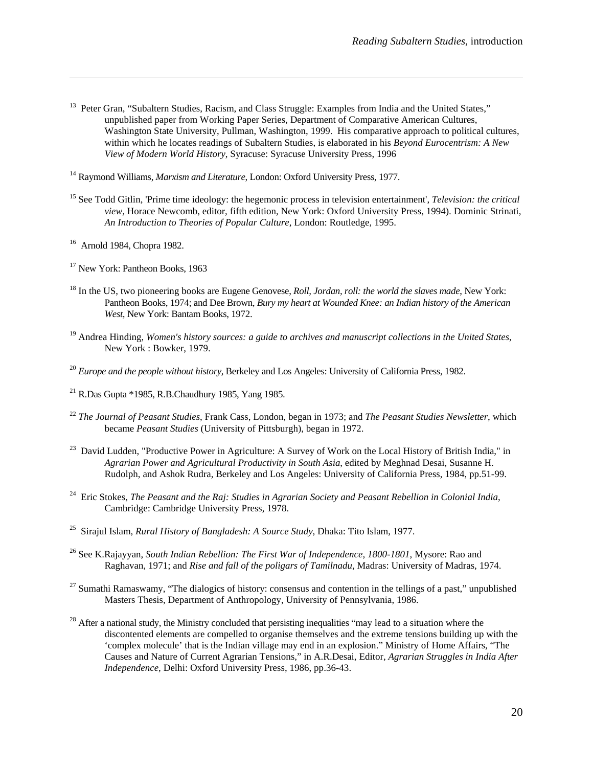- <sup>13</sup> Peter Gran, "Subaltern Studies, Racism, and Class Struggle: Examples from India and the United States," unpublished paper from Working Paper Series, Department of Comparative American Cultures, Washington State University, Pullman, Washington, 1999. His comparative approach to political cultures, within which he locates readings of Subaltern Studies, is elaborated in his *Beyond Eurocentrism: A New View of Modern World History*, Syracuse: Syracuse University Press, 1996
- 14 Raymond Williams, *Marxism and Literature*, London: Oxford University Press, 1977.
- 15 See Todd Gitlin, 'Prime time ideology: the hegemonic process in television entertainment', *Television: the critical view,* Horace Newcomb, editor, fifth edition, New York: Oxford University Press, 1994). Dominic Strinati, *An Introduction to Theories of Popular Culture*, London: Routledge, 1995.
- 16 Arnold 1984, Chopra 1982.

- <sup>17</sup> New York: Pantheon Books, 1963
- 18 In the US, two pioneering books are Eugene Genovese, *Roll, Jordan, roll: the world the slaves made*, New York: Pantheon Books, 1974; and Dee Brown, *Bury my heart at Wounded Knee: an Indian history of the American West,* New York: Bantam Books, 1972.
- 19 Andrea Hinding, *Women's history sources: a guide to archives and manuscript collections in the United States*, New York : Bowker, 1979.
- <sup>20</sup> *Europe and the people without history*, Berkeley and Los Angeles: University of California Press, 1982.
- $21$  R.Das Gupta \*1985, R.B.Chaudhury 1985, Yang 1985.
- <sup>22</sup> *The Journal of Peasant Studies*, Frank Cass, London, began in 1973; and *The Peasant Studies Newsletter*, which became *Peasant Studies* (University of Pittsburgh), began in 1972.
- <sup>23</sup> David Ludden, "Productive Power in Agriculture: A Survey of Work on the Local History of British India," in *Agrarian Power and Agricultural Productivity in South Asia*, edited by Meghnad Desai, Susanne H. Rudolph, and Ashok Rudra, Berkeley and Los Angeles: University of California Press, 1984, pp.51-99.
- 24 Eric Stokes, *The Peasant and the Raj: Studies in Agrarian Society and Peasant Rebellion in Colonial India*, Cambridge: Cambridge University Press, 1978.
- 25 Sirajul Islam, *Rural History of Bangladesh: A Source Study*, Dhaka: Tito Islam, 1977.
- 26 See K.Rajayyan, *South Indian Rebellion: The First War of Independence, 1800-1801*, Mysore: Rao and Raghavan, 1971; and *Rise and fall of the poligars of Tamilnadu*, Madras: University of Madras, 1974.
- $27$  Sumathi Ramaswamy, "The dialogics of history: consensus and contention in the tellings of a past," unpublished Masters Thesis, Department of Anthropology, University of Pennsylvania, 1986.
- $^{28}$  After a national study, the Ministry concluded that persisting inequalities "may lead to a situation where the discontented elements are compelled to organise themselves and the extreme tensions building up with the 'complex molecule' that is the Indian village may end in an explosion." Ministry of Home Affairs, "The Causes and Nature of Current Agrarian Tensions," in A.R.Desai, Editor, *Agrarian Struggles in India After Independence*, Delhi: Oxford University Press, 1986, pp.36-43.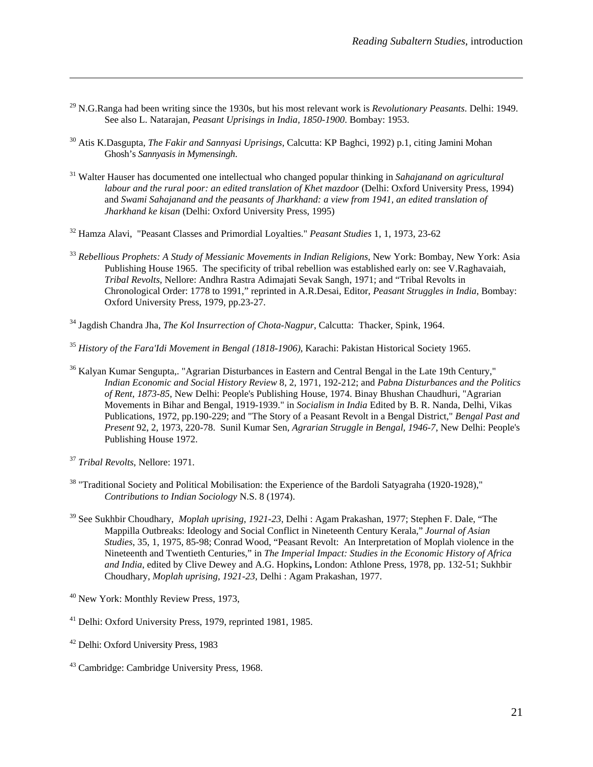- 29 N.G.Ranga had been writing since the 1930s, but his most relevant work is *Revolutionary Peasants*. Delhi: 1949. See also L. Natarajan, *Peasant Uprisings in India, 1850-1900*. Bombay: 1953.
- 30 Atis K.Dasgupta, *The Fakir and Sannyasi Uprisings*, Calcutta: KP Baghci, 1992) p.1, citing Jamini Mohan Ghosh's *Sannyasis in Mymensingh*.
- 31 Walter Hauser has documented one intellectual who changed popular thinking in *Sahajanand on agricultural labour and the rural poor: an edited translation of Khet mazdoor (Delhi: Oxford University Press, 1994)* and *Swami Sahajanand and the peasants of Jharkhand: a view from 1941, an edited translation of Jharkhand ke kisan* (Delhi: Oxford University Press, 1995)
- 32 Hamza Alavi, "Peasant Classes and Primordial Loyalties." *Peasant Studies* 1, 1, 1973, 23-62
- <sup>33</sup> *Rebellious Prophets: A Study of Messianic Movements in Indian Religions*, New York: Bombay, New York: Asia Publishing House 1965. The specificity of tribal rebellion was established early on: see V.Raghavaiah, *Tribal Revolts*, Nellore: Andhra Rastra Adimajati Sevak Sangh, 1971; and "Tribal Revolts in Chronological Order: 1778 to 1991," reprinted in A.R.Desai, Editor, *Peasant Struggles in India*, Bombay: Oxford University Press, 1979, pp.23-27.
- 34 Jagdish Chandra Jha, *The Kol Insurrection of Chota-Nagpur*, Calcutta: Thacker, Spink, 1964.
- <sup>35</sup> *History of the Fara'Idi Movement in Bengal (1818-1906)*, Karachi: Pakistan Historical Society 1965.
- 36 Kalyan Kumar Sengupta,. "Agrarian Disturbances in Eastern and Central Bengal in the Late 19th Century," *Indian Economic and Social History Review* 8, 2, 1971, 192-212; and *Pabna Disturbances and the Politics of Rent, 1873-85*, New Delhi: People's Publishing House, 1974. Binay Bhushan Chaudhuri, "Agrarian Movements in Bihar and Bengal, 1919-1939." in *Socialism in India* Edited by B. R. Nanda, Delhi, Vikas Publications, 1972, pp.190-229; and "The Story of a Peasant Revolt in a Bengal District," *Bengal Past and Present* 92, 2, 1973, 220-78. Sunil Kumar Sen, *Agrarian Struggle in Bengal, 1946-7*, New Delhi: People's Publishing House 1972.
- <sup>37</sup> *Tribal Revolts*, Nellore: 1971.

- <sup>38</sup> "Traditional Society and Political Mobilisation: the Experience of the Bardoli Satyagraha (1920-1928)," *Contributions to Indian Sociology* N.S. 8 (1974).
- 39 See Sukhbir Choudhary, *Moplah uprising, 1921-23*, Delhi : Agam Prakashan, 1977; Stephen F. Dale, "The Mappilla Outbreaks: Ideology and Social Conflict in Nineteenth Century Kerala," *Journal of Asian Studies*, 35, 1, 1975, 85-98; Conrad Wood, "Peasant Revolt: An Interpretation of Moplah violence in the Nineteenth and Twentieth Centuries," in *The Imperial Impact: Studies in the Economic History of Africa and India*, edited by Clive Dewey and A.G. Hopkins**,** London: Athlone Press, 1978, pp. 132-51; Sukhbir Choudhary, *Moplah uprising, 1921-23*, Delhi : Agam Prakashan, 1977.
- 40 New York: Monthly Review Press, 1973,
- 41 Delhi: Oxford University Press, 1979, reprinted 1981, 1985.
- 42 Delhi: Oxford University Press, 1983

<sup>43</sup> Cambridge: Cambridge University Press, 1968.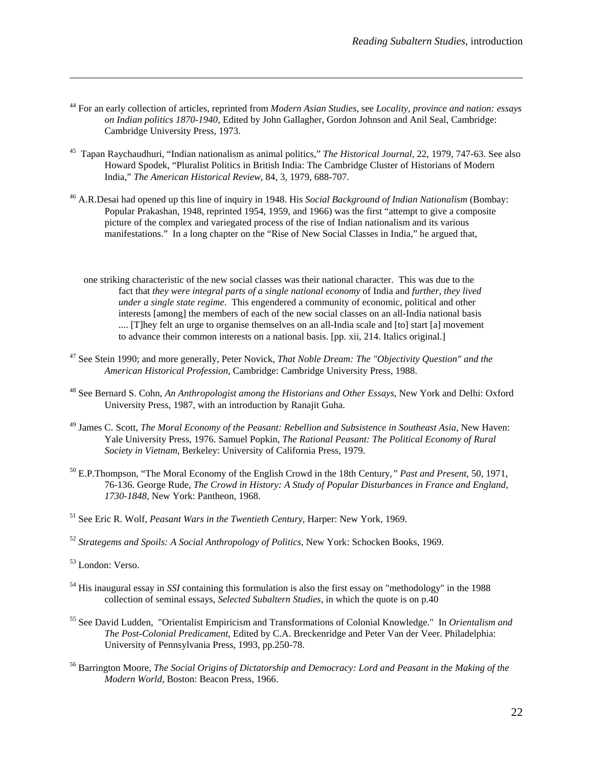- 44 For an early collection of articles, reprinted from *Modern Asian Studies*, see *Locality, province and nation: essays on Indian politics 1870-1940*, Edited by John Gallagher, Gordon Johnson and Anil Seal, Cambridge: Cambridge University Press, 1973.
- 45 Tapan Raychaudhuri, "Indian nationalism as animal politics," *The Historical Journal*, 22, 1979, 747-63. See also Howard Spodek, "Pluralist Politics in British India: The Cambridge Cluster of Historians of Modern India," *The American Historical Review*, 84, 3, 1979, 688-707.
- 46 A.R.Desai had opened up this line of inquiry in 1948. His *Social Background of Indian Nationalism* (Bombay: Popular Prakashan, 1948, reprinted 1954, 1959, and 1966) was the first "attempt to give a composite picture of the complex and variegated process of the rise of Indian nationalism and its various manifestations." In a long chapter on the "Rise of New Social Classes in India," he argued that,
	- one striking characteristic of the new social classes was their national character. This was due to the fact that *they were integral parts of a single national economy* of India and *further, they lived under a single state regime*. This engendered a community of economic, political and other interests [among] the members of each of the new social classes on an all-India national basis .... [T]hey felt an urge to organise themselves on an all-India scale and [to] start [a] movement to advance their common interests on a national basis. [pp. xii, 214. Italics original.]
- 47 See Stein 1990; and more generally, Peter Novick, *That Noble Dream: The "Objectivity Question" and the American Historical Profession*, Cambridge: Cambridge University Press, 1988.
- 48 See Bernard S. Cohn, *An Anthropologist among the Historians and Other Essays*, New York and Delhi: Oxford University Press, 1987, with an introduction by Ranajit Guha.
- 49 James C. Scott, *The Moral Economy of the Peasant: Rebellion and Subsistence in Southeast Asia*, New Haven: Yale University Press, 1976. Samuel Popkin*, The Rational Peasant: The Political Economy of Rural Society in Vietnam*, Berkeley: University of California Press, 1979.
- 50 E.P.Thompson, "The Moral Economy of the English Crowd in the 18th Century*," Past and Present*, 50, 1971, 76-136. George Rude, *The Crowd in History: A Study of Popular Disturbances in France and England, 1730-1848*, New York: Pantheon, 1968.
- 51 See Eric R. Wolf, *Peasant Wars in the Twentieth Century*, Harper: New York, 1969.
- <sup>52</sup> *Strategems and Spoils: A Social Anthropology of Politics*, New York: Schocken Books, 1969.
- 53 London: Verso.

- 54 His inaugural essay in *SSI* containing this formulation is also the first essay on "methodology" in the 1988 collection of seminal essays, *Selected Subaltern Studies,* in which the quote is on p.40
- 55 See David Ludden, "Orientalist Empiricism and Transformations of Colonial Knowledge." In *Orientalism and The Post-Colonial Predicament*, Edited by C.A. Breckenridge and Peter Van der Veer. Philadelphia: University of Pennsylvania Press, 1993, pp.250-78.
- 56 Barrington Moore, *The Social Origins of Dictatorship and Democracy: Lord and Peasant in the Making of the Modern World*, Boston: Beacon Press, 1966.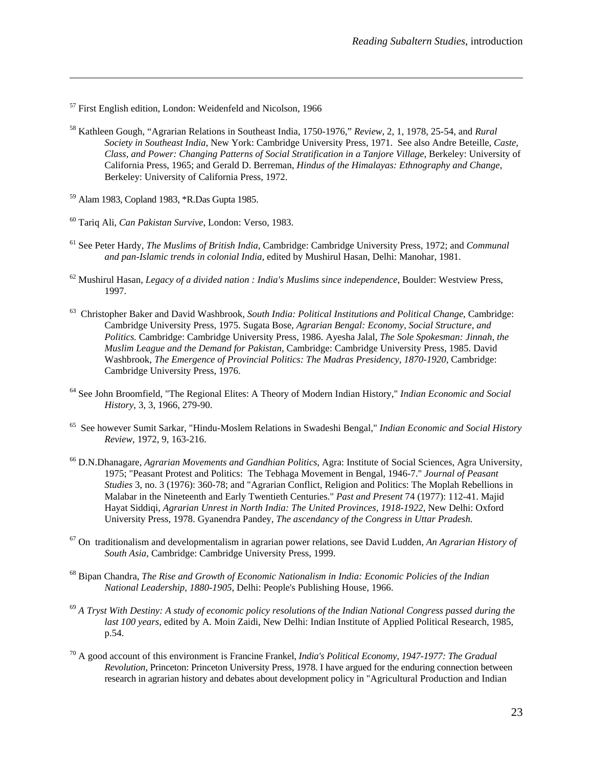- <sup>57</sup> First English edition, London: Weidenfeld and Nicolson, 1966
- 58 Kathleen Gough, "Agrarian Relations in Southeast India, 1750-1976," *Review*, 2, 1, 1978, 25-54, and *Rural Society in Southeast India*, New York: Cambridge University Press, 1971. See also Andre Beteille*, Caste, Class, and Power: Changing Patterns of Social Stratification in a Tanjore Village*, Berkeley: University of California Press, 1965; and Gerald D. Berreman, *Hindus of the Himalayas: Ethnography and Change*, Berkeley: University of California Press, 1972.
- 59 Alam 1983, Copland 1983, \*R.Das Gupta 1985.

- 60 Tariq Ali, *Can Pakistan Survive*, London: Verso, 1983.
- 61 See Peter Hardy, *The Muslims of British India*, Cambridge: Cambridge University Press, 1972; and *Communal and pan-Islamic trends in colonial India*, edited by Mushirul Hasan, Delhi: Manohar, 1981.
- 62 Mushirul Hasan*, Legacy of a divided nation : India's Muslims since independence*, Boulder: Westview Press, 1997.
- 63 Christopher Baker and David Washbrook*, South India: Political Institutions and Political Change*, Cambridge: Cambridge University Press, 1975. Sugata Bose*, Agrarian Bengal: Economy, Social Structure, and Politics.* Cambridge: Cambridge University Press, 1986. Ayesha Jalal, *The Sole Spokesman: Jinnah, the Muslim League and the Demand for Pakistan*, Cambridge: Cambridge University Press, 1985. David Washbrook, *The Emergence of Provincial Politics: The Madras Presidency, 1870-1920,* Cambridge: Cambridge University Press, 1976.
- 64 See John Broomfield, "The Regional Elites: A Theory of Modern Indian History," *Indian Economic and Social History*, 3, 3, 1966, 279-90.
- 65 See however Sumit Sarkar, "Hindu-Moslem Relations in Swadeshi Bengal," *Indian Economic and Social History Review*, 1972, 9, 163-216.
- 66 D.N.Dhanagare, *Agrarian Movements and Gandhian Politics*, Agra: Institute of Social Sciences, Agra University, 1975; "Peasant Protest and Politics: The Tebhaga Movement in Bengal, 1946-7." *Journal of Peasant Studies* 3, no. 3 (1976): 360-78; and "Agrarian Conflict, Religion and Politics: The Moplah Rebellions in Malabar in the Nineteenth and Early Twentieth Centuries." *Past and Present* 74 (1977): 112-41. Majid Hayat Siddiqi, *Agrarian Unrest in North India: The United Provinces, 1918-1922*, New Delhi: Oxford University Press, 1978. Gyanendra Pandey, *The ascendancy of the Congress in Uttar Pradesh.*
- 67 On traditionalism and developmentalism in agrarian power relations, see David Ludden, *An Agrarian History of South Asia*, Cambridge: Cambridge University Press, 1999.
- 68 Bipan Chandra, *The Rise and Growth of Economic Nationalism in India: Economic Policies of the Indian National Leadership, 1880-1905*, Delhi: People's Publishing House, 1966.
- <sup>69</sup> *A Tryst With Destiny: A study of economic policy resolutions of the Indian National Congress passed during the last 100 years*, edited by A. Moin Zaidi, New Delhi: Indian Institute of Applied Political Research, 1985, p.54.
- 70 A good account of this environment is Francine Frankel, *India's Political Economy, 1947-1977: The Gradual Revolution*, Princeton: Princeton University Press, 1978. I have argued for the enduring connection between research in agrarian history and debates about development policy in "Agricultural Production and Indian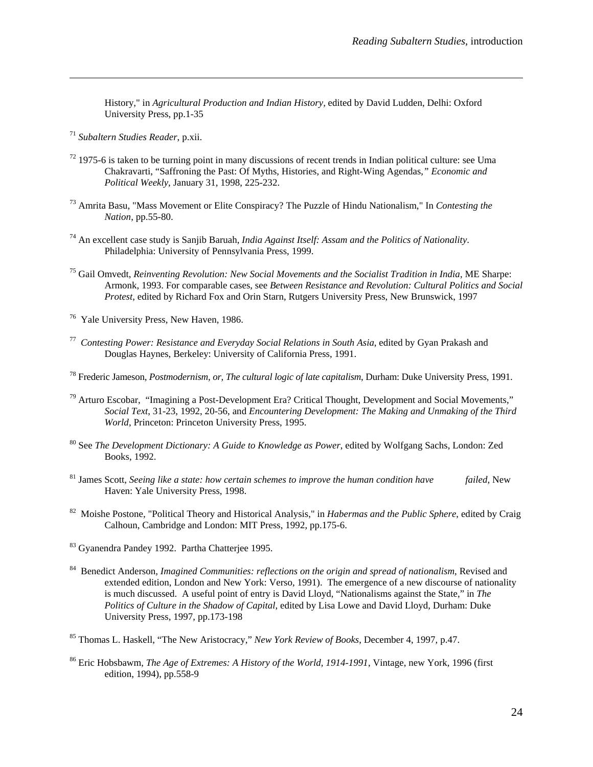History," in *Agricultural Production and Indian History,* edited by David Ludden, Delhi: Oxford University Press, pp.1-35

<sup>71</sup> *Subaltern Studies Reader*, p.xii.

- $72$  1975-6 is taken to be turning point in many discussions of recent trends in Indian political culture: see Uma Chakravarti, "Saffroning the Past: Of Myths, Histories, and Right-Wing Agendas*," Economic and Political Weekly*, January 31, 1998, 225-232.
- 73 Amrita Basu, "Mass Movement or Elite Conspiracy? The Puzzle of Hindu Nationalism," In *Contesting the Nation*, pp.55-80.
- 74 An excellent case study is Sanjib Baruah, *India Against Itself: Assam and the Politics of Nationality*. Philadelphia: University of Pennsylvania Press, 1999.
- 75 Gail Omvedt, *Reinventing Revolution: New Social Movements and the Socialist Tradition in India*, ME Sharpe: Armonk, 1993. For comparable cases, see *Between Resistance and Revolution: Cultural Politics and Social Protest*, edited by Richard Fox and Orin Starn, Rutgers University Press, New Brunswick, 1997
- <sup>76</sup> Yale University Press, New Haven, 1986.
- 77 *Contesting Power: Resistance and Everyday Social Relations in South Asia*, edited by Gyan Prakash and Douglas Haynes, Berkeley: University of California Press, 1991.
- 78 Frederic Jameson, *Postmodernism, or, The cultural logic of late capitalism*, Durham: Duke University Press, 1991.
- $79$  Arturo Escobar, "Imagining a Post-Development Era? Critical Thought, Development and Social Movements," *Social Text*, 31-23, 1992, 20-56, and *Encountering Development: The Making and Unmaking of the Third World*, Princeton: Princeton University Press, 1995.
- 80 See *The Development Dictionary: A Guide to Knowledge as Power*, edited by Wolfgang Sachs, London: Zed Books, 1992.
- 81 James Scott, *Seeing like a state: how certain schemes to improve the human condition have failed*, New Haven: Yale University Press, 1998.
- 82 Moishe Postone, "Political Theory and Historical Analysis," in *Habermas and the Public Sphere*, edited by Craig Calhoun, Cambridge and London: MIT Press, 1992, pp.175-6.
- 83 Gyanendra Pandey 1992. Partha Chatterjee 1995.
- 84 Benedict Anderson*, Imagined Communities: reflections on the origin and spread of nationalism*, Revised and extended edition, London and New York: Verso, 1991). The emergence of a new discourse of nationality is much discussed. A useful point of entry is David Lloyd, "Nationalisms against the State," in *The Politics of Culture in the Shadow of Capital*, edited by Lisa Lowe and David Lloyd, Durham: Duke University Press, 1997, pp.173-198
- 85 Thomas L. Haskell, "The New Aristocracy," *New York Review of Books*, December 4, 1997, p.47.
- 86 Eric Hobsbawm, *The Age of Extremes: A History of the World, 1914-1991*, Vintage, new York, 1996 (first edition, 1994), pp.558-9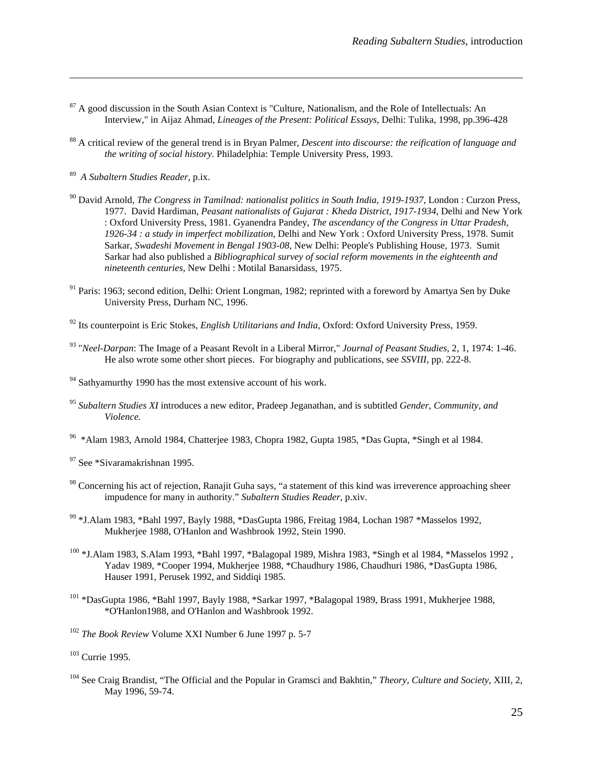- <sup>87</sup> A good discussion in the South Asian Context is "Culture, Nationalism, and the Role of Intellectuals: An Interview," in Aijaz Ahmad*, Lineages of the Present: Political Essays*, Delhi: Tulika, 1998, pp.396-428
- 88 A critical review of the general trend is in Bryan Palmer, *Descent into discourse: the reification of language and the writing of social history*. Philadelphia: Temple University Press, 1993.
- 89 *A Subaltern Studies Reader*, p.ix.

- 90 David Arnold, *The Congress in Tamilnad: nationalist politics in South India, 1919-1937*, London : Curzon Press, 1977. David Hardiman, *Peasant nationalists of Gujarat : Kheda District, 1917-1934*, Delhi and New York : Oxford University Press, 1981. Gyanendra Pandey, *The ascendancy of the Congress in Uttar Pradesh, 1926-34 : a study in imperfect mobilization*, Delhi and New York : Oxford University Press, 1978. Sumit Sarkar, *Swadeshi Movement in Bengal 1903-08,* New Delhi: People's Publishing House, 1973. Sumit Sarkar had also published a *Bibliographical survey of social reform movements in the eighteenth and nineteenth centuries*, New Delhi : Motilal Banarsidass, 1975.
- <sup>91</sup> Paris: 1963; second edition, Delhi: Orient Longman, 1982; reprinted with a foreword by Amartya Sen by Duke University Press, Durham NC, 1996.
- 92 Its counterpoint is Eric Stokes, *English Utilitarians and India*, Oxford: Oxford University Press, 1959.
- 93 "*Neel-Darpan*: The Image of a Peasant Revolt in a Liberal Mirror," *Journal of Peasant Studies*, 2, 1, 1974: 1-46. He also wrote some other short pieces. For biography and publications, see *SSVIII*, pp. 222-8.
- <sup>94</sup> Sathyamurthy 1990 has the most extensive account of his work.
- <sup>95</sup> *Subaltern Studies XI* introduces a new editor, Pradeep Jeganathan, and is subtitled *Gender, Community, and Violence.*
- <sup>96</sup> \*Alam 1983, Arnold 1984, Chatterjee 1983, Chopra 1982, Gupta 1985, \*Das Gupta, \*Singh et al 1984.
- 97 See \*Sivaramakrishnan 1995.
- <sup>98</sup> Concerning his act of rejection, Ranajit Guha says, "a statement of this kind was irreverence approaching sheer impudence for many in authority." *Subaltern Studies Reader*, p.xiv.
- 99 \*J.Alam 1983, \*Bahl 1997, Bayly 1988, \*DasGupta 1986, Freitag 1984, Lochan 1987 \*Masselos 1992, Mukherjee 1988, O'Hanlon and Washbrook 1992, Stein 1990.
- 100 \*J.Alam 1983, S.Alam 1993, \*Bahl 1997, \*Balagopal 1989, Mishra 1983, \*Singh et al 1984, \*Masselos 1992 , Yadav 1989, \*Cooper 1994, Mukherjee 1988, \*Chaudhury 1986, Chaudhuri 1986, \*DasGupta 1986, Hauser 1991, Perusek 1992, and Siddiqi 1985.
- 101 \*DasGupta 1986, \*Bahl 1997, Bayly 1988, \*Sarkar 1997, \*Balagopal 1989, Brass 1991, Mukherjee 1988, \*O'Hanlon1988, and O'Hanlon and Washbrook 1992.
- <sup>102</sup> *The Book Review* Volume XXI Number 6 June 1997 p. 5-7

104 See Craig Brandist, "The Official and the Popular in Gramsci and Bakhtin," *Theory, Culture and Society*, XIII, 2, May 1996, 59-74.

<sup>&</sup>lt;sup>103</sup> Currie 1995.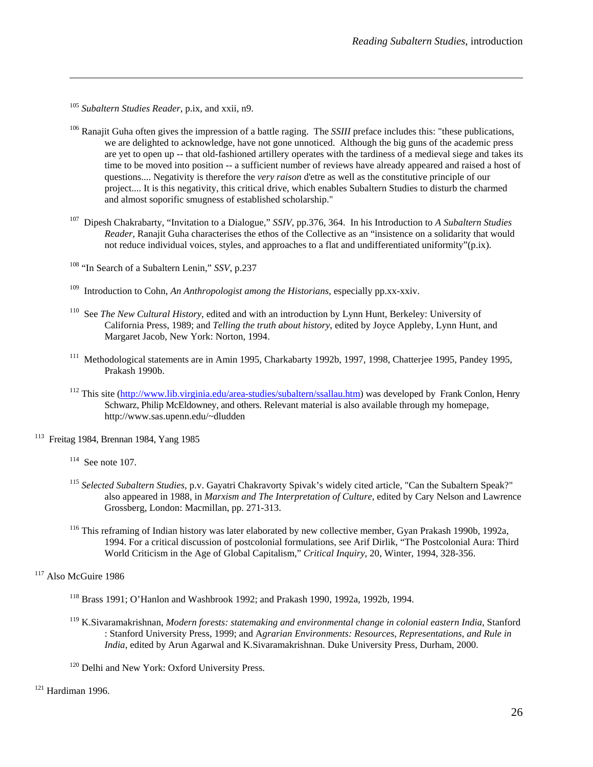<sup>105</sup> *Subaltern Studies Reader*, p.ix, and xxii, n9.

1

- <sup>106</sup> Ranajit Guha often gives the impression of a battle raging. The *SSIII* preface includes this: "these publications, we are delighted to acknowledge, have not gone unnoticed. Although the big guns of the academic press are yet to open up -- that old-fashioned artillery operates with the tardiness of a medieval siege and takes its time to be moved into position -- a sufficient number of reviews have already appeared and raised a host of questions.... Negativity is therefore the *very raison* d'etre as well as the constitutive principle of our project.... It is this negativity, this critical drive, which enables Subaltern Studies to disturb the charmed and almost soporific smugness of established scholarship."
- 107 Dipesh Chakrabarty, "Invitation to a Dialogue," *SSIV*, pp.376, 364. In his Introduction to *A Subaltern Studies Reader,* Ranajit Guha characterises the ethos of the Collective as an "insistence on a solidarity that would not reduce individual voices, styles, and approaches to a flat and undifferentiated uniformity"(p.ix).
- 108 "In Search of a Subaltern Lenin," *SSV*, p.237
- <sup>109</sup> Introduction to Cohn, *An Anthropologist among the Historians*, especially pp.xx-xxiv.
- 110 See *The New Cultural History*, edited and with an introduction by Lynn Hunt, Berkeley: University of California Press, 1989; and *Telling the truth about history*, edited by Joyce Appleby, Lynn Hunt, and Margaret Jacob, New York: Norton, 1994.
- <sup>111</sup> Methodological statements are in Amin 1995, Charkabarty 1992b, 1997, 1998, Chatterjee 1995, Pandey 1995, Prakash 1990b.
- <sup>112</sup> This site [\(http://www.lib.virginia.edu/area-studies/subaltern/ssallau.htm](http://www.lib.virginia.edu/area-studies/subaltern/ssallau.htm)) was developed by Frank Conlon, Henry Schwarz, Philip McEldowney, and others. Relevant material is also available through my homepage, http://www.sas.upenn.edu/~dludden
- 113 Freitag 1984, Brennan 1984, Yang 1985
	- $114$  See note 107.
	- <sup>115</sup> *Selected Subaltern Studies,* p.v. Gayatri Chakravorty Spivak's widely cited article, "Can the Subaltern Speak?" also appeared in 1988, in *Marxism and The Interpretation of Culture*, edited by Cary Nelson and Lawrence Grossberg, London: Macmillan, pp. 271-313.
	- <sup>116</sup> This reframing of Indian history was later elaborated by new collective member, Gyan Prakash 1990b, 1992a, 1994. For a critical discussion of postcolonial formulations, see Arif Dirlik, "The Postcolonial Aura: Third World Criticism in the Age of Global Capitalism," *Critical Inquiry*, 20, Winter, 1994, 328-356.

<sup>117</sup> Also McGuire 1986

- 118 Brass 1991; O'Hanlon and Washbrook 1992; and Prakash 1990, 1992a, 1992b, 1994.
- 119 K.Sivaramakrishnan, *Modern forests: statemaking and environmental change in colonial eastern India*, Stanford : Stanford University Press, 1999; and A*grarian Environments: Resources, Representations, and Rule in India*, edited by Arun Agarwal and K.Sivaramakrishnan. Duke University Press, Durham, 2000.

<sup>120</sup> Delhi and New York: Oxford University Press.

121 Hardiman 1996.